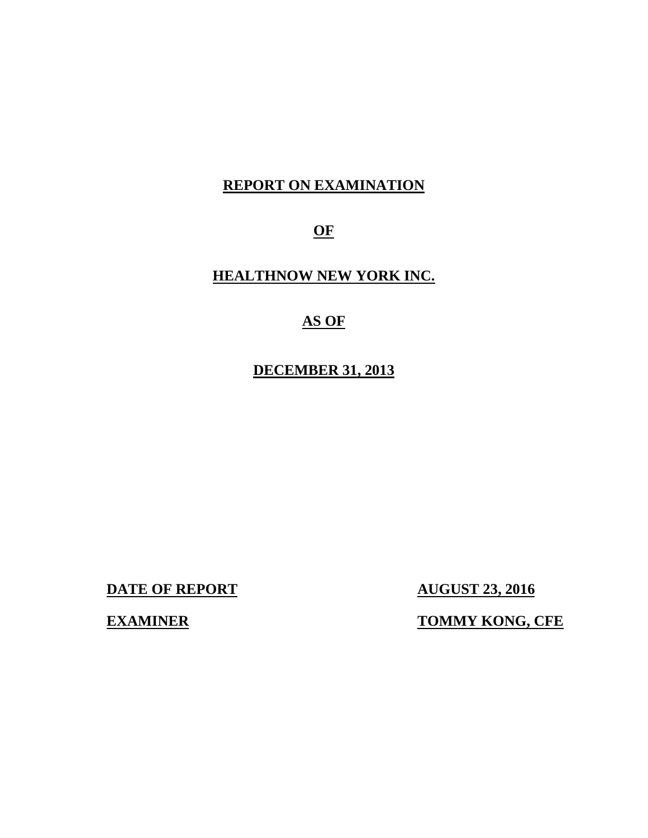## **REPORT ON EXAMINATION**

**OF** 

## **HEALTHNOW NEW YORK INC.**

## **AS OF**

**DECEMBER 31, 2013** 

**DATE OF REPORT AUGUST 23, 2016** 

**EXAMINER TOMMY KONG, CFE**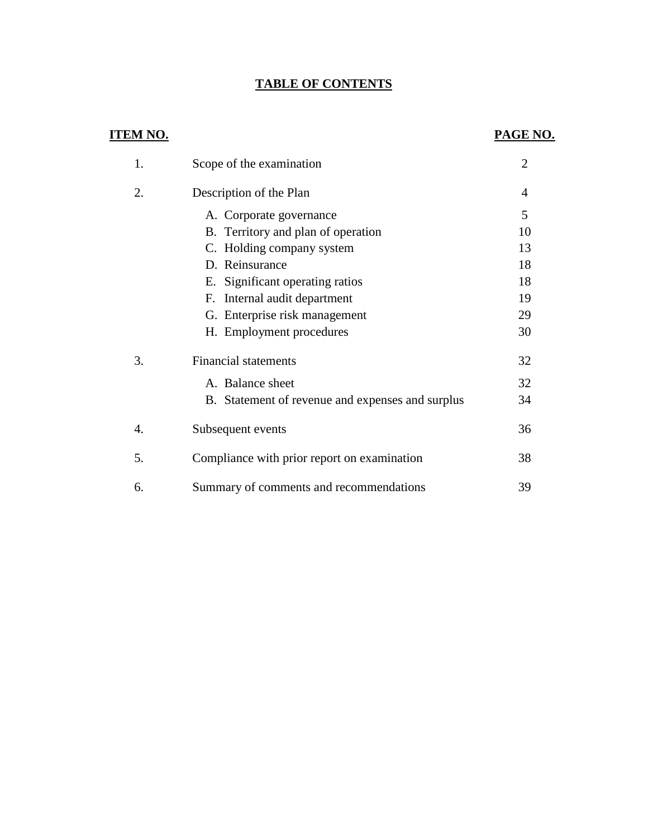## **TABLE OF CONTENTS**

## **ITEM NO.**

## **PAGE NO.**

| 1. | Scope of the examination                         | $\overline{2}$ |
|----|--------------------------------------------------|----------------|
| 2. | Description of the Plan                          | 4              |
|    | A. Corporate governance                          | 5              |
|    | B. Territory and plan of operation               | 10             |
|    | C. Holding company system                        | 13             |
|    | D. Reinsurance                                   | 18             |
|    | E. Significant operating ratios                  | 18             |
|    | F. Internal audit department                     | 19             |
|    | G. Enterprise risk management                    | 29             |
|    | H. Employment procedures                         | 30             |
| 3. | <b>Financial statements</b>                      | 32             |
|    | A. Balance sheet                                 | 32             |
|    | B. Statement of revenue and expenses and surplus | 34             |
| 4. | Subsequent events                                | 36             |
| 5. | Compliance with prior report on examination      | 38             |
| 6. | Summary of comments and recommendations          | 39             |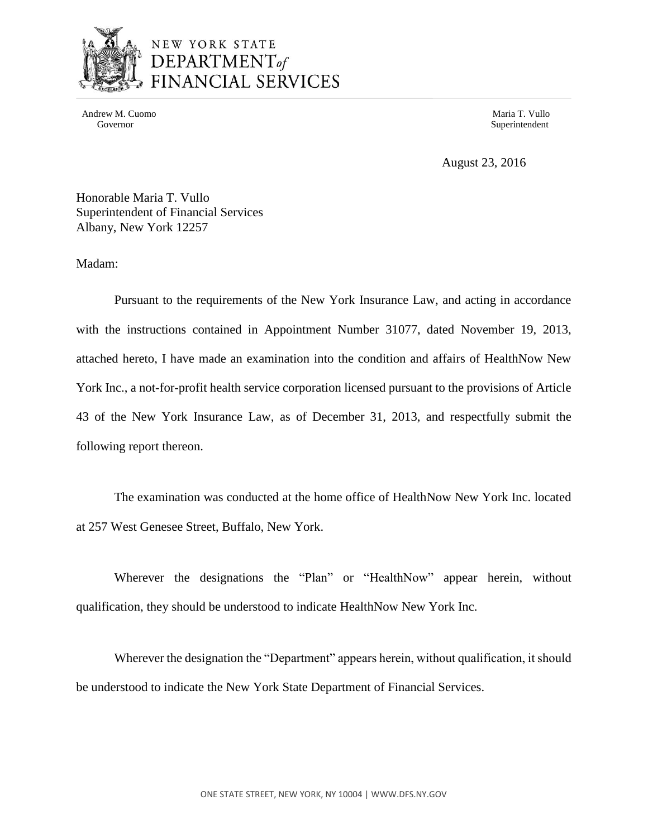

Andrew M. Cuomo **Maria T. Vullo** Maria T. Vullo Maria T. Vullo Maria T. Vullo Maria T. Vullo Maria T. Vullo Maria T. Vullo

Governor Superintendent Superintendent Superintendent Superintendent Superintendent Superintendent Superintendent Superintendent Superintendent Superintendent Superintendent Superintendent Superintendent Superintendent Sup

August 23, 2016

Honorable Maria T. Vullo Superintendent of Financial Services Albany, New York 12257

Madam:

 Pursuant to the requirements of the New York Insurance Law, and acting in accordance with the instructions contained in Appointment Number 31077, dated November 19, 2013, attached hereto, I have made an examination into the condition and affairs of HealthNow New York Inc., a not-for-profit health service corporation licensed pursuant to the provisions of Article 43 of the New York Insurance Law, as of December 31, 2013, and respectfully submit the following report thereon.

 The examination was conducted at the home office of HealthNow New York Inc. located at 257 West Genesee Street, Buffalo, New York.

 Wherever the designations the "Plan" or "HealthNow" appear herein, without qualification, they should be understood to indicate HealthNow New York Inc.

 Wherever the designation the "Department" appears herein, without qualification, it should be understood to indicate the New York State Department of Financial Services.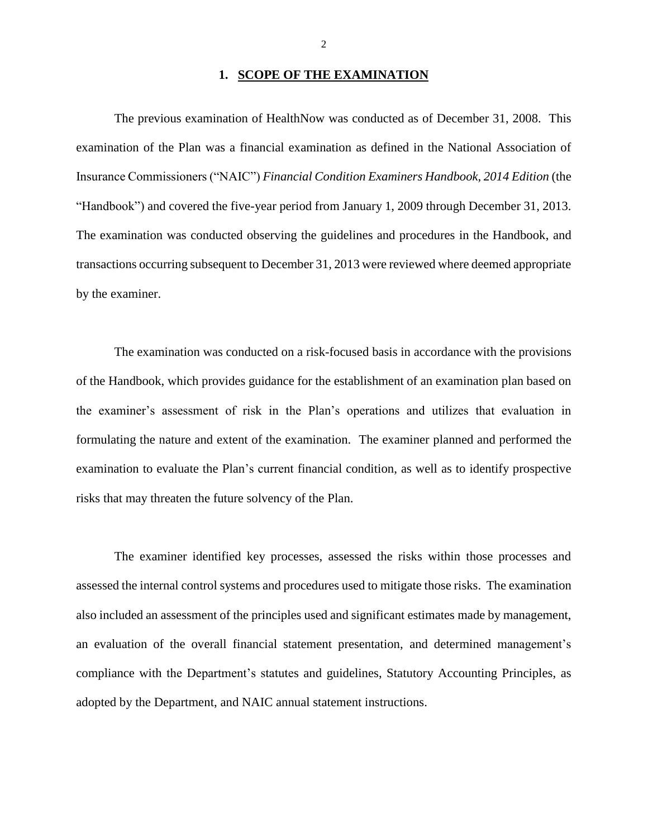## 1. **SCOPE OF THE EXAMINATION**

 The previous examination of HealthNow was conducted as of December 31, 2008. This examination of the Plan was a financial examination as defined in the National Association of "Handbook") and covered the five-year period from January 1, 2009 through December 31, 2013. transactions occurring subsequent to December 31, 2013 were reviewed where deemed appropriate Insurance Commissioners ("NAIC") *Financial Condition Examiners Handbook, 2014 Edition* (the The examination was conducted observing the guidelines and procedures in the Handbook, and by the examiner.

 of the Handbook, which provides guidance for the establishment of an examination plan based on formulating the nature and extent of the examination. The examiner planned and performed the examination to evaluate the Plan's current financial condition, as well as to identify prospective risks that may threaten the future solvency of the Plan. The examination was conducted on a risk-focused basis in accordance with the provisions the examiner's assessment of risk in the Plan's operations and utilizes that evaluation in

 assessed the internal control systems and procedures used to mitigate those risks. The examination also included an assessment of the principles used and significant estimates made by management, compliance with the Department's statutes and guidelines, Statutory Accounting Principles, as adopted by the Department, and NAIC annual statement instructions. The examiner identified key processes, assessed the risks within those processes and an evaluation of the overall financial statement presentation, and determined management's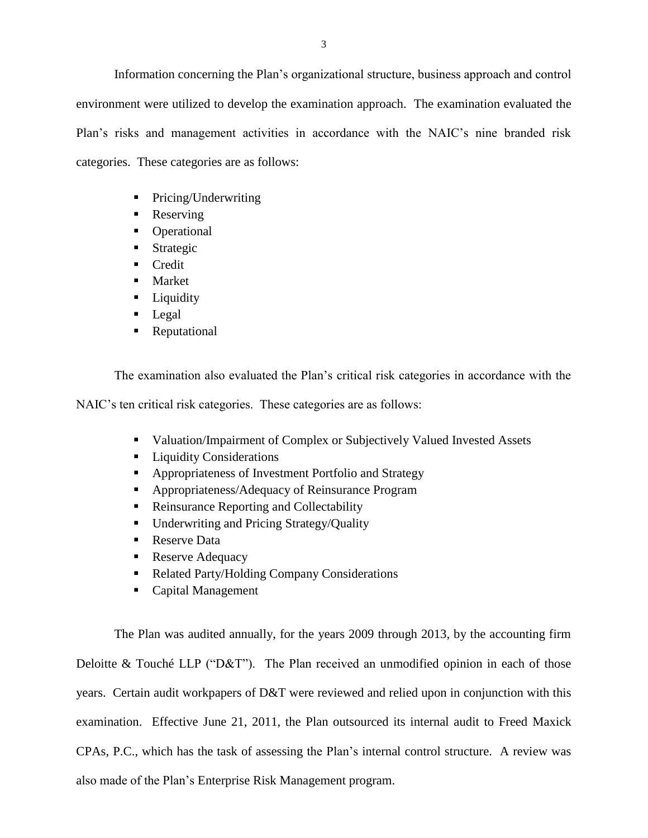environment were utilized to develop the examination approach. The examination evaluated the categories. These categories are as follows: Information concerning the Plan's organizational structure, business approach and control Plan's risks and management activities in accordance with the NAIC's nine branded risk

- Pricing/Underwriting
- Reserving
- Operational
- **Strategic**
- **Credit**
- Market
- **Liquidity**
- **Legal**
- **Reputational**

The examination also evaluated the Plan's critical risk categories in accordance with the

NAIC's ten critical risk categories. These categories are as follows:

- Valuation/Impairment of Complex or Subjectively Valued Invested Assets
- **Liquidity Considerations**
- Appropriateness of Investment Portfolio and Strategy
- Appropriateness/Adequacy of Reinsurance Program
- Reinsurance Reporting and Collectability
- **Underwriting and Pricing Strategy/Quality**
- Reserve Data
- Reserve Adequacy
- Related Party/Holding Company Considerations
- Capital Management

 The Plan was audited annually, for the years 2009 through 2013, by the accounting firm Deloitte & Touché LLP ("D&T"). The Plan received an unmodified opinion in each of those examination. Effective June 21, 2011, the Plan outsourced its internal audit to Freed Maxick CPAs, P.C., which has the task of assessing the Plan's internal control structure. A review was years. Certain audit workpapers of D&T were reviewed and relied upon in conjunction with this also made of the Plan's Enterprise Risk Management program.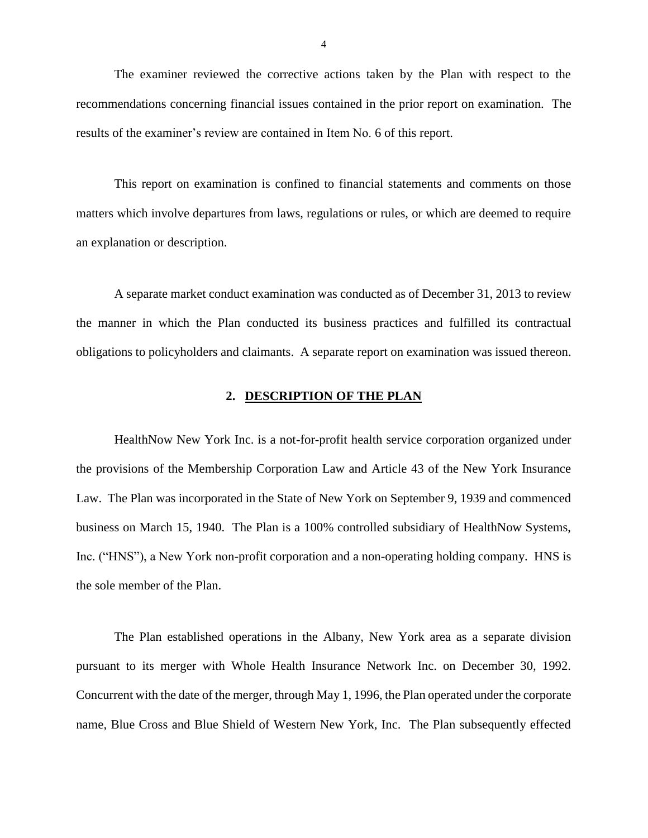recommendations concerning financial issues contained in the prior report on examination. The The examiner reviewed the corrective actions taken by the Plan with respect to the results of the examiner's review are contained in Item No. 6 of this report.

This report on examination is confined to financial statements and comments on those matters which involve departures from laws, regulations or rules, or which are deemed to require an explanation or description.

 A separate market conduct examination was conducted as of December 31, 2013 to review obligations to policyholders and claimants. A separate report on examination was issued thereon. the manner in which the Plan conducted its business practices and fulfilled its contractual

### **2. DESCRIPTION OF THE PLAN**

 Law. The Plan was incorporated in the State of New York on September 9, 1939 and commenced business on March 15, 1940. The Plan is a 100% controlled subsidiary of HealthNow Systems, HealthNow New York Inc. is a not-for-profit health service corporation organized under the provisions of the Membership Corporation Law and Article 43 of the New York Insurance Inc. ("HNS"), a New York non-profit corporation and a non-operating holding company. HNS is the sole member of the Plan.

 The Plan established operations in the Albany, New York area as a separate division pursuant to its merger with Whole Health Insurance Network Inc. on December 30, 1992. Concurrent with the date of the merger, through May 1, 1996, the Plan operated under the corporate name, Blue Cross and Blue Shield of Western New York, Inc. The Plan subsequently effected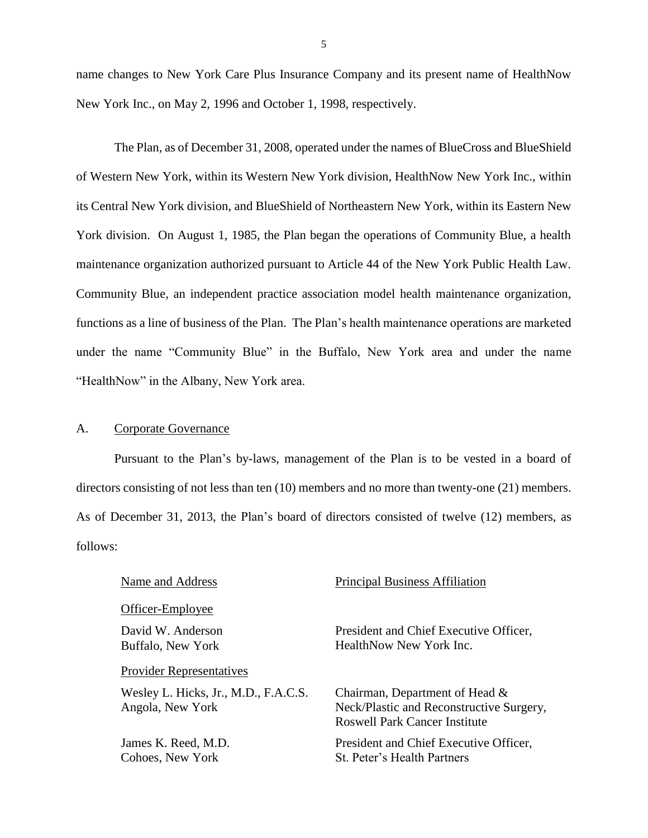name changes to New York Care Plus Insurance Company and its present name of HealthNow New York Inc., on May 2, 1996 and October 1, 1998, respectively.

 York division. On August 1, 1985, the Plan began the operations of Community Blue, a health maintenance organization authorized pursuant to Article 44 of the New York Public Health Law. Community Blue, an independent practice association model health maintenance organization, functions as a line of business of the Plan. The Plan's health maintenance operations are marketed under the name "Community Blue" in the Buffalo, New York area and under the name The Plan, as of December 31, 2008, operated under the names of BlueCross and BlueShield of Western New York, within its Western New York division, HealthNow New York Inc., within its Central New York division, and BlueShield of Northeastern New York, within its Eastern New "HealthNow" in the Albany, New York area.

### A. Corporate Governance

 Pursuant to the Plan's by-laws, management of the Plan is to be vested in a board of directors consisting of not less than ten (10) members and no more than twenty-one (21) members. As of December 31, 2013, the Plan's board of directors consisted of twelve (12) members, as follows:

## Officer-Employee

### Provider Representatives

Wesley L. Hicks, Jr., M.D., F.A.C.S. Chairman, Department of Head &

### Name and Address **Principal Business Affiliation**

David W. Anderson President and Chief Executive Officer, Buffalo, New York **HealthNow New York Inc.** 

Angola, New York Neck/Plastic and Reconstructive Surgery, Roswell Park Cancer Institute

James K. Reed, M.D. President and Chief Executive Officer, Cohoes, New York St. Peter's Health Partners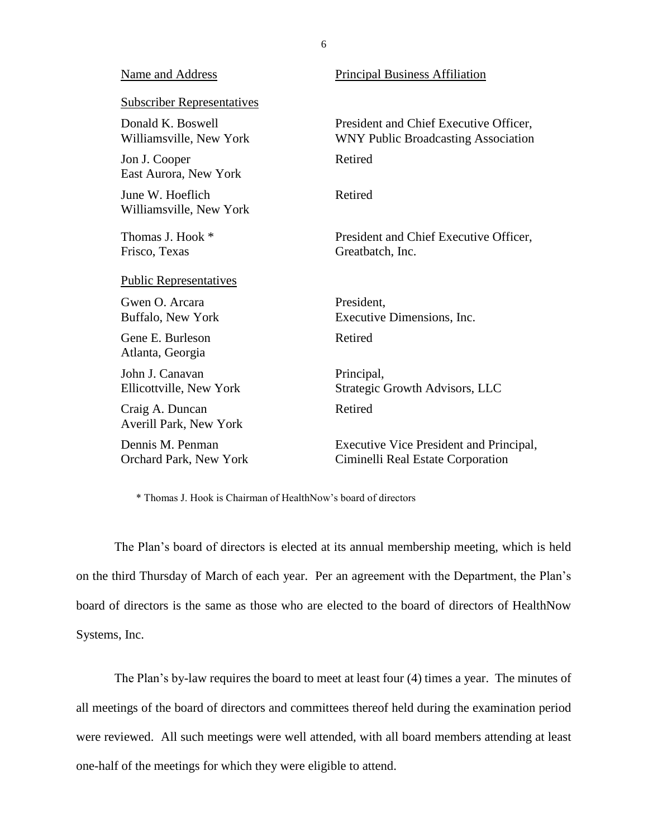### Name and Address Principal Business Affiliation

| <b>Subscriber Representatives</b>            |                                                                                      |
|----------------------------------------------|--------------------------------------------------------------------------------------|
| Donald K. Boswell<br>Williamsville, New York | President and Chief Executive Officer,<br><b>WNY Public Broadcasting Association</b> |
| Jon J. Cooper<br>East Aurora, New York       | Retired                                                                              |
| June W. Hoeflich<br>Williamsville, New York  | Retired                                                                              |
| Thomas J. Hook *<br>Frisco, Texas            | President and Chief Executive Officer,<br>Greatbatch, Inc.                           |
| <b>Public Representatives</b>                |                                                                                      |
| Gwen O. Arcara<br>Buffalo, New York          | President,<br>Executive Dimensions, Inc.                                             |
| Gene E. Burleson<br>Atlanta, Georgia         | Retired                                                                              |
| John J. Canavan<br>Ellicottville, New York   | Principal,<br>Strategic Growth Advisors, LLC                                         |
| Craig A. Duncan<br>Averill Park, New York    | Retired                                                                              |
| Dennis M. Penman<br>Orchard Park, New York   | Executive Vice President and Principal,<br>Ciminelli Real Estate Corporation         |

\* Thomas J. Hook is Chairman of HealthNow's board of directors

 The Plan's board of directors is elected at its annual membership meeting, which is held on the third Thursday of March of each year. Per an agreement with the Department, the Plan's board of directors is the same as those who are elected to the board of directors of HealthNow Systems, Inc.

 The Plan's by-law requires the board to meet at least four (4) times a year. The minutes of all meetings of the board of directors and committees thereof held during the examination period were reviewed. All such meetings were well attended, with all board members attending at least one-half of the meetings for which they were eligible to attend.

6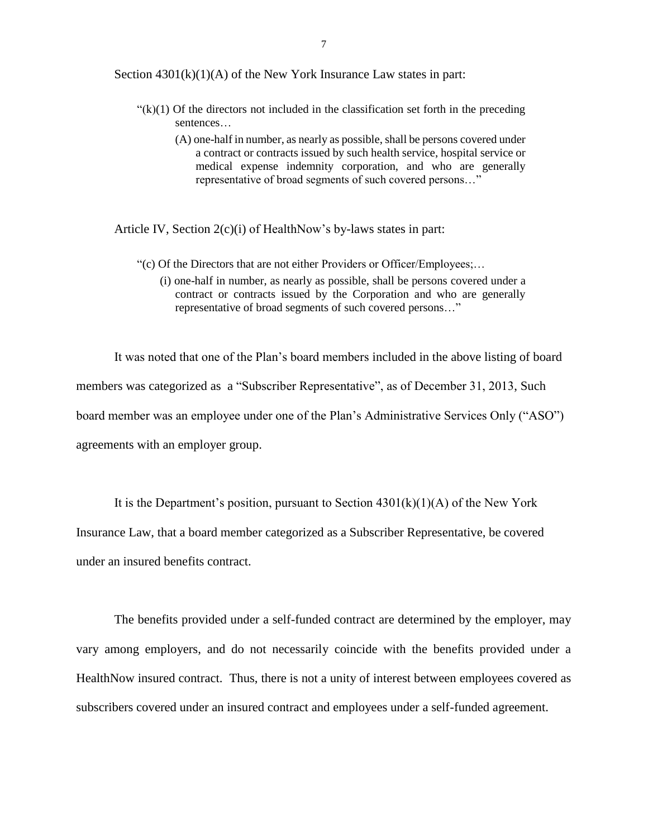Section  $4301(k)(1)(A)$  of the New York Insurance Law states in part:

- $f'(k)(1)$  Of the directors not included in the classification set forth in the preceding sentences…
	- (A) one-half in number, as nearly as possible, shall be persons covered under a contract or contracts issued by such health service, hospital service or medical expense indemnity corporation, and who are generally representative of broad segments of such covered persons…"

Article IV, Section 2(c)(i) of HealthNow's by-laws states in part:

- "(c) Of the Directors that are not either Providers or Officer/Employees;…
	- (i) one-half in number, as nearly as possible, shall be persons covered under a contract or contracts issued by the Corporation and who are generally representative of broad segments of such covered persons…"

It was noted that one of the Plan's board members included in the above listing of board members was categorized as a "Subscriber Representative", as of December 31, 2013, Such board member was an employee under one of the Plan's Administrative Services Only ("ASO") agreements with an employer group.

It is the Department's position, pursuant to Section  $4301(k)(1)(A)$  of the New York Insurance Law, that a board member categorized as a Subscriber Representative, be covered under an insured benefits contract.

 vary among employers, and do not necessarily coincide with the benefits provided under a HealthNow insured contract. Thus, there is not a unity of interest between employees covered as The benefits provided under a self-funded contract are determined by the employer, may subscribers covered under an insured contract and employees under a self-funded agreement.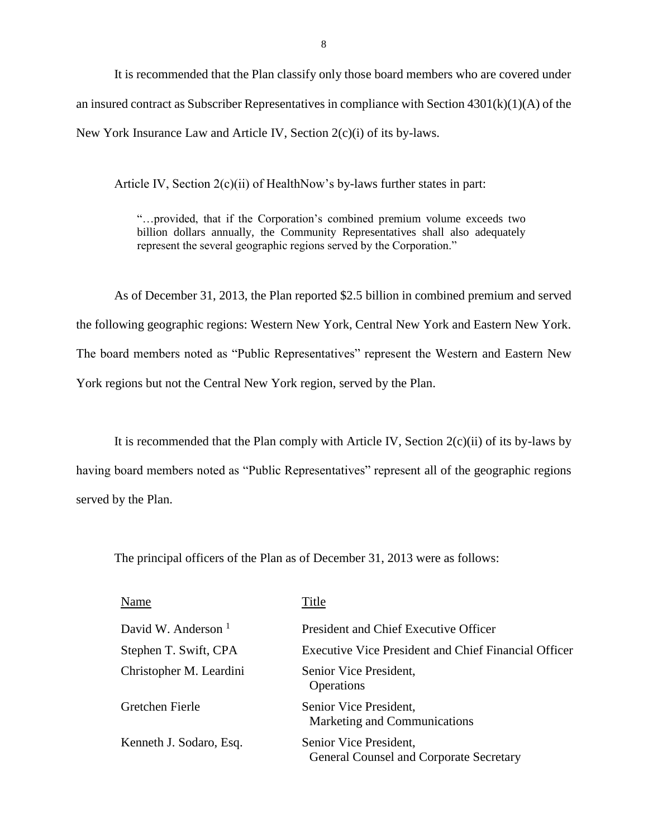It is recommended that the Plan classify only those board members who are covered under an insured contract as Subscriber Representatives in compliance with Section 4301(k)(1)(A) of the New York Insurance Law and Article IV, Section 2(c)(i) of its by-laws.

Article IV, Section 2(c)(ii) of HealthNow's by-laws further states in part:

 "…provided, that if the Corporation's combined premium volume exceeds two billion dollars annually, the Community Representatives shall also adequately represent the several geographic regions served by the Corporation."

 the following geographic regions: Western New York, Central New York and Eastern New York. The board members noted as "Public Representatives" represent the Western and Eastern New York regions but not the Central New York region, served by the Plan. As of December 31, 2013, the Plan reported \$2.5 billion in combined premium and served

 having board members noted as "Public Representatives" represent all of the geographic regions It is recommended that the Plan comply with Article IV, Section  $2(c)(ii)$  of its by-laws by served by the Plan.

The principal officers of the Plan as of December 31, 2013 were as follows:

| Name                    | Title                                                             |
|-------------------------|-------------------------------------------------------------------|
| David W. Anderson $1$   | President and Chief Executive Officer                             |
| Stephen T. Swift, CPA   | Executive Vice President and Chief Financial Officer              |
| Christopher M. Leardini | Senior Vice President,<br>Operations                              |
| Gretchen Fierle         | Senior Vice President,<br>Marketing and Communications            |
| Kenneth J. Sodaro, Esq. | Senior Vice President,<br>General Counsel and Corporate Secretary |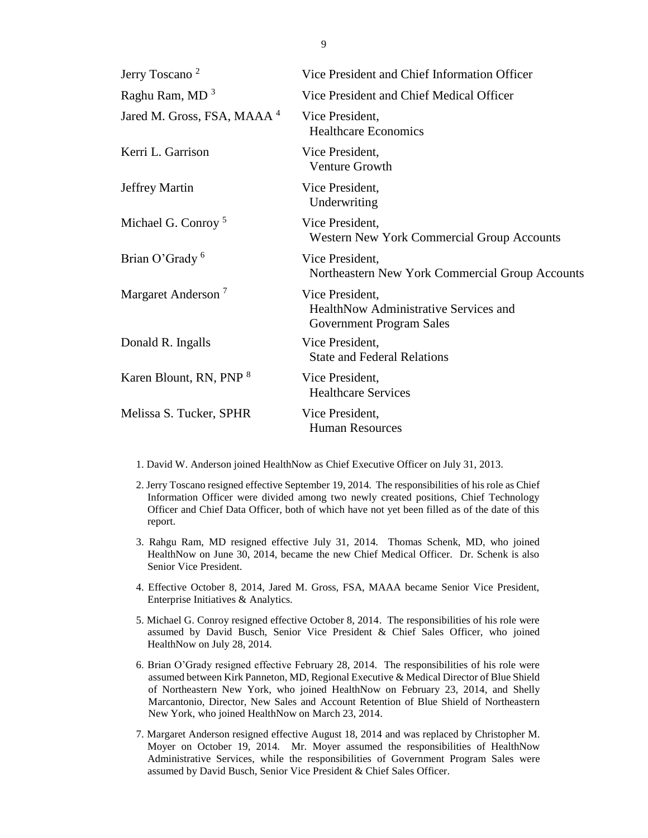| Jerry Toscano <sup>2</sup>             | Vice President and Chief Information Officer                                                |
|----------------------------------------|---------------------------------------------------------------------------------------------|
| Raghu Ram, MD <sup>3</sup>             | Vice President and Chief Medical Officer                                                    |
| Jared M. Gross, FSA, MAAA <sup>4</sup> | Vice President,<br><b>Healthcare Economics</b>                                              |
| Kerri L. Garrison                      | Vice President,<br><b>Venture Growth</b>                                                    |
| Jeffrey Martin                         | Vice President,<br>Underwriting                                                             |
| Michael G. Conroy <sup>5</sup>         | Vice President,<br>Western New York Commercial Group Accounts                               |
| Brian O'Grady <sup>6</sup>             | Vice President,<br>Northeastern New York Commercial Group Accounts                          |
| Margaret Anderson <sup>7</sup>         | Vice President,<br>HealthNow Administrative Services and<br><b>Government Program Sales</b> |
| Donald R. Ingalls                      | Vice President,<br><b>State and Federal Relations</b>                                       |
| Karen Blount, RN, PNP <sup>8</sup>     | Vice President,<br><b>Healthcare Services</b>                                               |
| Melissa S. Tucker, SPHR                | Vice President,<br><b>Human Resources</b>                                                   |

1. David W. Anderson joined HealthNow as Chief Executive Officer on July 31, 2013.

- 2. Jerry Toscano resigned effective September 19, 2014. The responsibilities of his role as Chief Information Officer were divided among two newly created positions, Chief Technology Officer and Chief Data Officer, both of which have not yet been filled as of the date of this report.
- 3. Rahgu Ram, MD resigned effective July 31, 2014. Thomas Schenk, MD, who joined HealthNow on June 30, 2014, became the new Chief Medical Officer. Dr. Schenk is also Senior Vice President.
- 4. Effective October 8, 2014, Jared M. Gross, FSA, MAAA became Senior Vice President, Enterprise Initiatives & Analytics.
- 5. Michael G. Conroy resigned effective October 8, 2014. The responsibilities of his role were assumed by David Busch, Senior Vice President & Chief Sales Officer, who joined HealthNow on July 28, 2014.
- 6. Brian O'Grady resigned effective February 28, 2014. The responsibilities of his role were assumed between Kirk Panneton, MD, Regional Executive & Medical Director of Blue Shield of Northeastern New York, who joined HealthNow on February 23, 2014, and Shelly Marcantonio, Director, New Sales and Account Retention of Blue Shield of Northeastern New York, who joined HealthNow on March 23, 2014.
- 7. Margaret Anderson resigned effective August 18, 2014 and was replaced by Christopher M. Moyer on October 19, 2014. Mr. Moyer assumed the responsibilities of HealthNow assumed by David Busch, Senior Vice President & Chief Sales Officer. Administrative Services, while the responsibilities of Government Program Sales were

9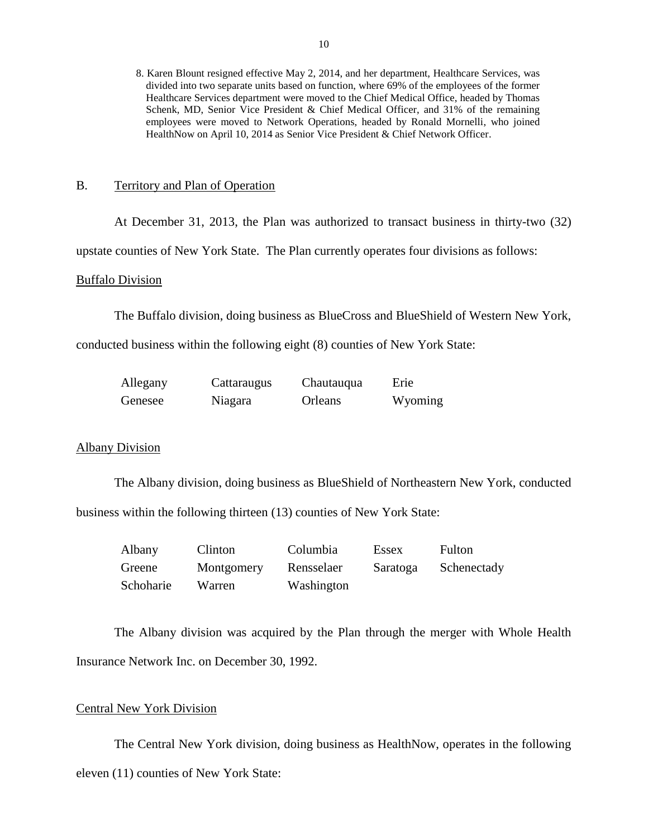8. Karen Blount resigned effective May 2, 2014, and her department, Healthcare Services, was divided into two separate units based on function, where 69% of the employees of the former Healthcare Services department were moved to the Chief Medical Office, headed by Thomas Schenk, MD, Senior Vice President & Chief Medical Officer, and 31% of the remaining employees were moved to Network Operations, headed by Ronald Mornelli, who joined HealthNow on April 10, 2014 as Senior Vice President & Chief Network Officer.

### B. Territory and Plan of Operation

At December 31, 2013, the Plan was authorized to transact business in thirty-two (32)

upstate counties of New York State. The Plan currently operates four divisions as follows:

### Buffalo Division

The Buffalo division, doing business as BlueCross and BlueShield of Western New York,

conducted business within the following eight (8) counties of New York State:

| Allegany | Cattaraugus | Chautauqua | Erie    |
|----------|-------------|------------|---------|
| Genesee  | Niagara     | Orleans    | Wyoming |

### Albany Division

 business within the following thirteen (13) counties of New York State: The Albany division, doing business as BlueShield of Northeastern New York, conducted

| Albany    | Clinton    | Columbia   | Essex    | Fulton      |
|-----------|------------|------------|----------|-------------|
| Greene    | Montgomery | Rensselaer | Saratoga | Schenectady |
| Schoharie | Warren     | Washington |          |             |

 The Albany division was acquired by the Plan through the merger with Whole Health Insurance Network Inc. on December 30, 1992.

### Central New York Division

The Central New York division, doing business as HealthNow, operates in the following eleven (11) counties of New York State: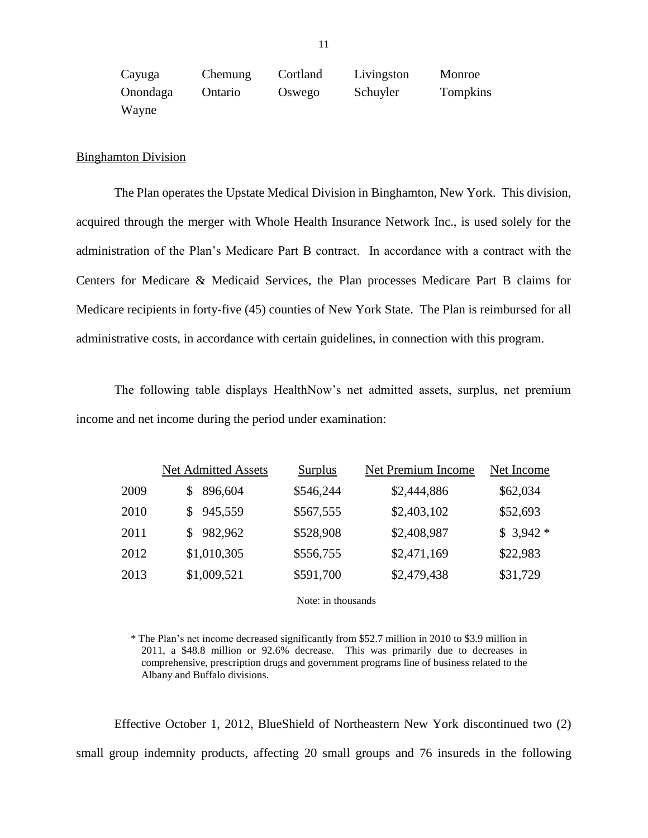| Cayuga   | Chemung | Cortland | Livingston | Monroe   |
|----------|---------|----------|------------|----------|
| Onondaga | Ontario | Oswego   | Schuyler   | Tompkins |
| Wayne    |         |          |            |          |

### Binghamton Division

 The Plan operates the Upstate Medical Division in Binghamton, New York. This division, acquired through the merger with Whole Health Insurance Network Inc., is used solely for the administration of the Plan's Medicare Part B contract. In accordance with a contract with the Centers for Medicare & Medicaid Services, the Plan processes Medicare Part B claims for administrative costs, in accordance with certain guidelines, in connection with this program. Medicare recipients in forty-five (45) counties of New York State. The Plan is reimbursed for all

 The following table displays HealthNow's net admitted assets, surplus, net premium income and net income during the period under examination:

|      | <b>Net Admitted Assets</b> | Surplus   | Net Premium Income | Net Income |
|------|----------------------------|-----------|--------------------|------------|
| 2009 | 896,604                    | \$546,244 | \$2,444,886        | \$62,034   |
| 2010 | \$945,559                  | \$567,555 | \$2,403,102        | \$52,693   |
| 2011 | \$982,962                  | \$528,908 | \$2,408,987        | $$3,942*$  |
| 2012 | \$1,010,305                | \$556,755 | \$2,471,169        | \$22,983   |
| 2013 | \$1,009,521                | \$591,700 | \$2,479,438        | \$31,729   |

Note: in thousands

 \* The Plan's net income decreased significantly from \$52.7 million in 2010 to \$3.9 million in 2011, a \$48.8 million or 92.6% decrease. This was primarily due to decreases in comprehensive, prescription drugs and government programs line of business related to the Albany and Buffalo divisions.

 Effective October 1, 2012, BlueShield of Northeastern New York discontinued two (2) small group indemnity products, affecting 20 small groups and 76 insureds in the following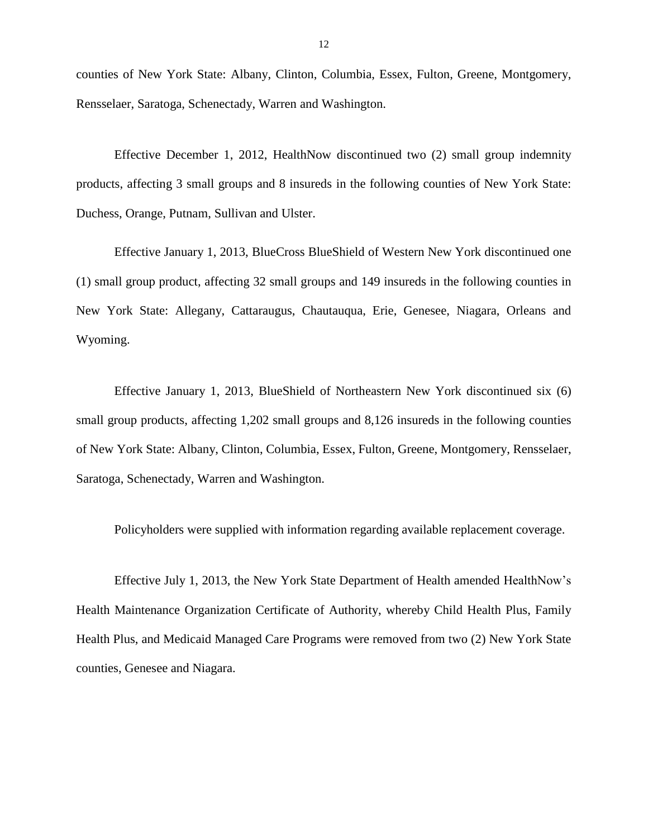Rensselaer, Saratoga, Schenectady, Warren and Washington. counties of New York State: Albany, Clinton, Columbia, Essex, Fulton, Greene, Montgomery,

 Effective December 1, 2012, HealthNow discontinued two (2) small group indemnity products, affecting 3 small groups and 8 insureds in the following counties of New York State: Duchess, Orange, Putnam, Sullivan and Ulster.

 Effective January 1, 2013, BlueCross BlueShield of Western New York discontinued one (1) small group product, affecting 32 small groups and 149 insureds in the following counties in New York State: Allegany, Cattaraugus, Chautauqua, Erie, Genesee, Niagara, Orleans and Wyoming.

 Effective January 1, 2013, BlueShield of Northeastern New York discontinued six (6) small group products, affecting 1,202 small groups and 8,126 insureds in the following counties of New York State: Albany, Clinton, Columbia, Essex, Fulton, Greene, Montgomery, Rensselaer, Saratoga, Schenectady, Warren and Washington.

Policyholders were supplied with information regarding available replacement coverage.

 Effective July 1, 2013, the New York State Department of Health amended HealthNow's Health Plus, and Medicaid Managed Care Programs were removed from two (2) New York State Health Maintenance Organization Certificate of Authority, whereby Child Health Plus, Family counties, Genesee and Niagara.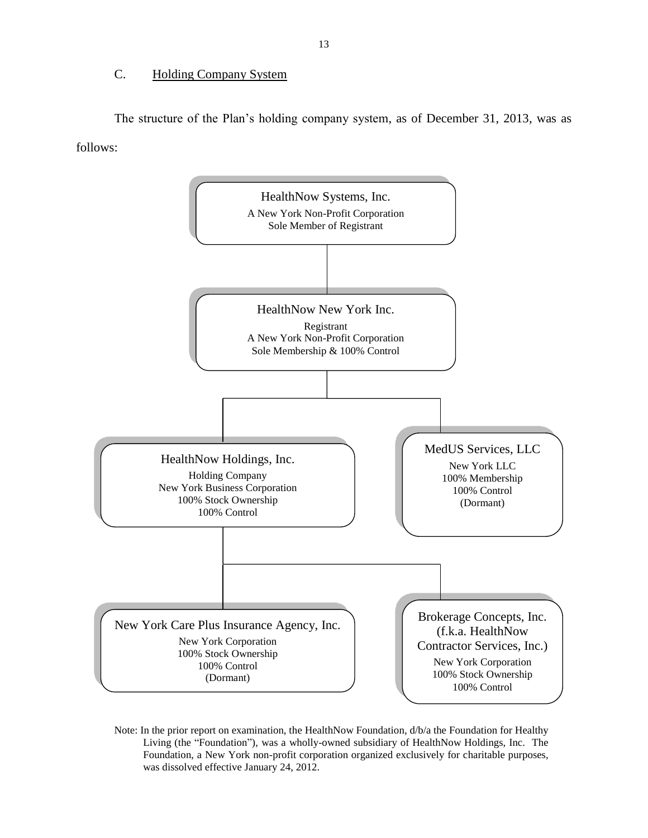### C. Holding Company System

 The structure of the Plan's holding company system, as of December 31, 2013, was as follows:



 Note: In the prior report on examination, the HealthNow Foundation, d/b/a the Foundation for Healthy Living (the "Foundation"), was a wholly-owned subsidiary of HealthNow Holdings, Inc. The Foundation, a New York non-profit corporation organized exclusively for charitable purposes, was dissolved effective January 24, 2012.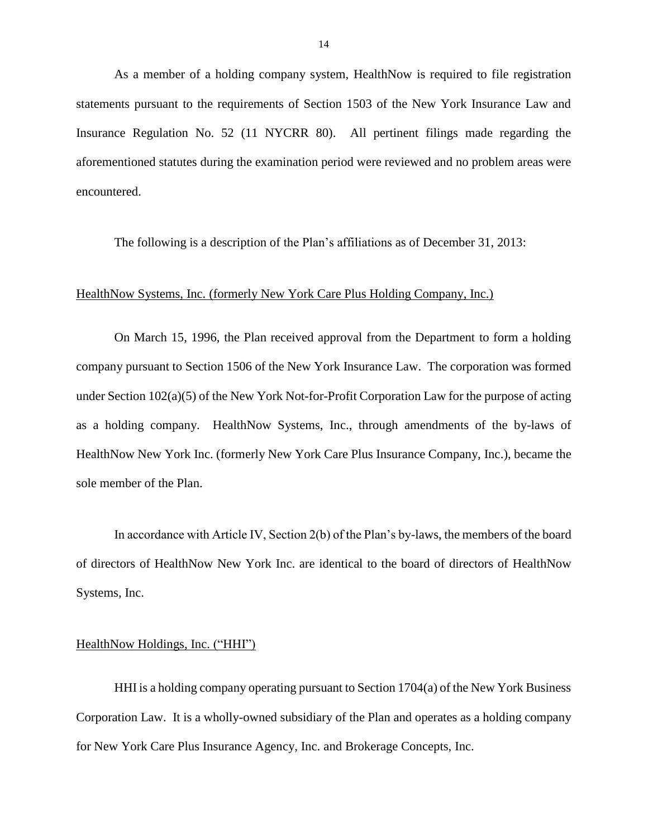As a member of a holding company system, HealthNow is required to file registration statements pursuant to the requirements of Section 1503 of the New York Insurance Law and Insurance Regulation No. 52 (11 NYCRR 80). All pertinent filings made regarding the aforementioned statutes during the examination period were reviewed and no problem areas were encountered.

The following is a description of the Plan's affiliations as of December 31, 2013:

### HealthNow Systems, Inc. (formerly New York Care Plus Holding Company, Inc.)

 On March 15, 1996, the Plan received approval from the Department to form a holding company pursuant to Section 1506 of the New York Insurance Law. The corporation was formed under Section 102(a)(5) of the New York Not-for-Profit Corporation Law for the purpose of acting as a holding company. HealthNow Systems, Inc., through amendments of the by-laws of HealthNow New York Inc. (formerly New York Care Plus Insurance Company, Inc.), became the sole member of the Plan.

In accordance with Article IV, Section 2(b) of the Plan's by-laws, the members of the board of directors of HealthNow New York Inc. are identical to the board of directors of HealthNow Systems, Inc.

### HealthNow Holdings, Inc. ("HHI")

 HHI is a holding company operating pursuant to Section 1704(a) of the New York Business for New York Care Plus Insurance Agency, Inc. and Brokerage Concepts, Inc. Corporation Law. It is a wholly-owned subsidiary of the Plan and operates as a holding company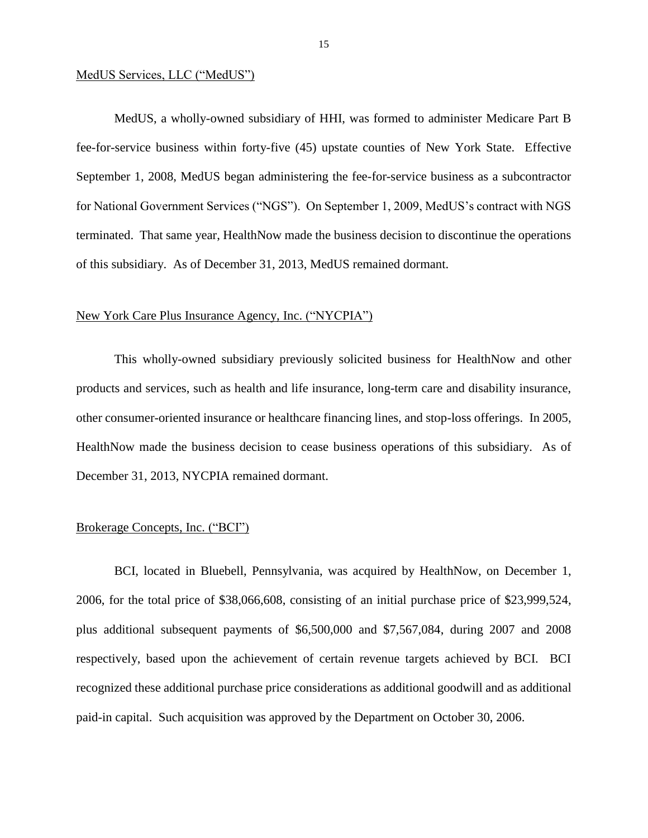### MedUS Services, LLC ("MedUS")

 MedUS, a wholly-owned subsidiary of HHI, was formed to administer Medicare Part B fee-for-service business within forty-five (45) upstate counties of New York State. Effective terminated. That same year, HealthNow made the business decision to discontinue the operations of this subsidiary. As of December 31, 2013, MedUS remained dormant. September 1, 2008, MedUS began administering the fee-for-service business as a subcontractor for National Government Services ("NGS"). On September 1, 2009, MedUS's contract with NGS

### New York Care Plus Insurance Agency, Inc. ("NYCPIA")

 This wholly-owned subsidiary previously solicited business for HealthNow and other products and services, such as health and life insurance, long-term care and disability insurance, other consumer-oriented insurance or healthcare financing lines, and stop-loss offerings. In 2005, HealthNow made the business decision to cease business operations of this subsidiary. As of December 31, 2013, NYCPIA remained dormant.

### Brokerage Concepts, Inc. ("BCI")

 BCI, located in Bluebell, Pennsylvania, was acquired by HealthNow, on December 1, 2006, for the total price of \$38,066,608, consisting of an initial purchase price of \$23,999,524, plus additional subsequent payments of \$6,500,000 and \$7,567,084, during 2007 and 2008 respectively, based upon the achievement of certain revenue targets achieved by BCI. BCI recognized these additional purchase price considerations as additional goodwill and as additional paid-in capital. Such acquisition was approved by the Department on October 30, 2006.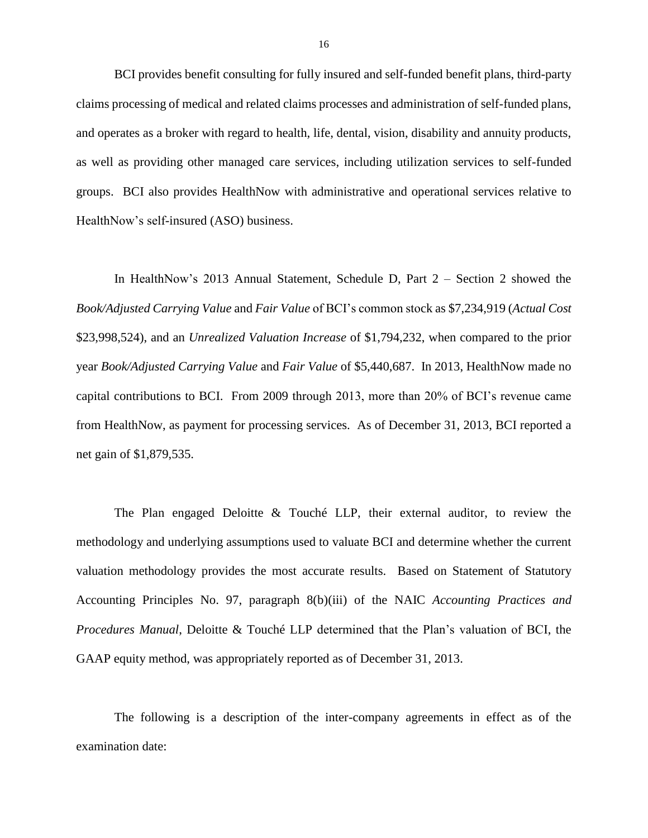BCI provides benefit consulting for fully insured and self-funded benefit plans, third-party claims processing of medical and related claims processes and administration of self-funded plans, groups. BCI also provides HealthNow with administrative and operational services relative to and operates as a broker with regard to health, life, dental, vision, disability and annuity products, as well as providing other managed care services, including utilization services to self-funded HealthNow's self-insured (ASO) business.

 In HealthNow's 2013 Annual Statement, Schedule D, Part 2 – Section 2 showed the year *Book/Adjusted Carrying Value* and *Fair Value* of \$5,440,687. In 2013, HealthNow made no capital contributions to BCI. From 2009 through 2013, more than 20% of BCI's revenue came from HealthNow, as payment for processing services. As of December 31, 2013, BCI reported a net gain of \$1,879,535. *Book/Adjusted Carrying Value* and *Fair Value* of BCI's common stock as \$7,234,919 (*Actual Cost*  \$23,998,524), and an *Unrealized Valuation Increase* of \$1,794,232, when compared to the prior

 The Plan engaged Deloitte & Touché LLP, their external auditor, to review the methodology and underlying assumptions used to valuate BCI and determine whether the current  Accounting Principles No. 97, paragraph 8(b)(iii) of the NAIC *Accounting Practices and Procedures Manual*, Deloitte & Touché LLP determined that the Plan's valuation of BCI, the GAAP equity method, was appropriately reported as of December 31, 2013. valuation methodology provides the most accurate results. Based on Statement of Statutory

 The following is a description of the inter-company agreements in effect as of the examination date: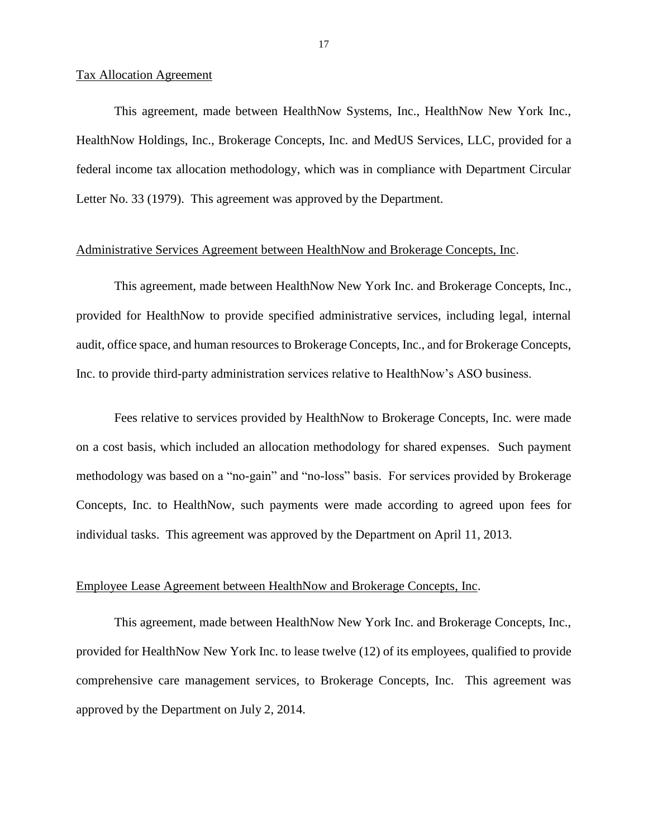### Tax Allocation Agreement

 This agreement, made between HealthNow Systems, Inc., HealthNow New York Inc., HealthNow Holdings, Inc., Brokerage Concepts, Inc. and MedUS Services, LLC, provided for a federal income tax allocation methodology, which was in compliance with Department Circular Letter No. 33 (1979). This agreement was approved by the Department.

### Administrative Services Agreement between HealthNow and Brokerage Concepts, Inc.

 This agreement, made between HealthNow New York Inc. and Brokerage Concepts, Inc., provided for HealthNow to provide specified administrative services, including legal, internal audit, office space, and human resources to Brokerage Concepts, Inc., and for Brokerage Concepts, Inc. to provide third-party administration services relative to HealthNow's ASO business.

 Fees relative to services provided by HealthNow to Brokerage Concepts, Inc. were made on a cost basis, which included an allocation methodology for shared expenses. Such payment methodology was based on a "no-gain" and "no-loss" basis. For services provided by Brokerage Concepts, Inc. to HealthNow, such payments were made according to agreed upon fees for individual tasks. This agreement was approved by the Department on April 11, 2013.

### Employee Lease Agreement between HealthNow and Brokerage Concepts, Inc.

 provided for HealthNow New York Inc. to lease twelve (12) of its employees, qualified to provide comprehensive care management services, to Brokerage Concepts, Inc. This agreement was This agreement, made between HealthNow New York Inc. and Brokerage Concepts, Inc., approved by the Department on July 2, 2014.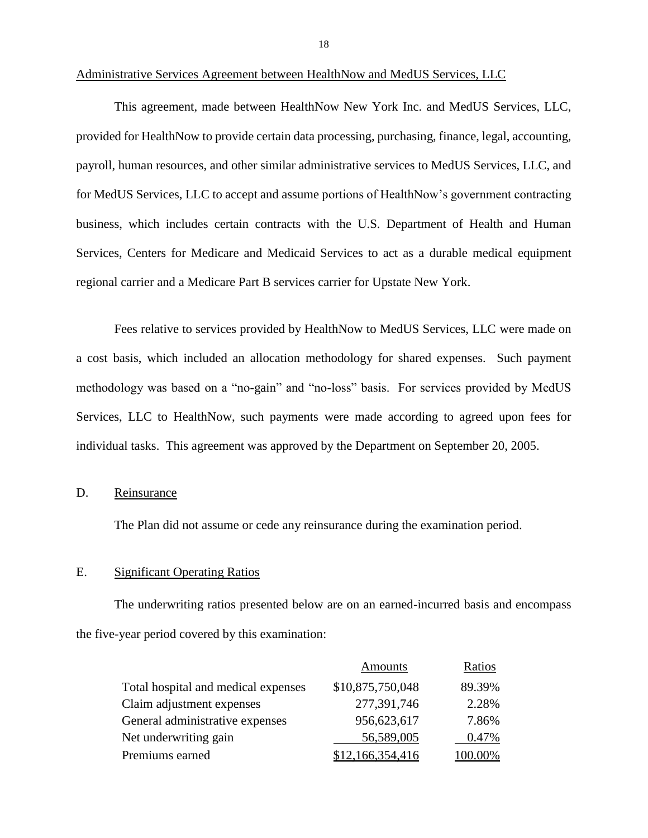This agreement, made between HealthNow New York Inc. and MedUS Services, LLC, provided for HealthNow to provide certain data processing, purchasing, finance, legal, accounting, payroll, human resources, and other similar administrative services to MedUS Services, LLC, and Services, Centers for Medicare and Medicaid Services to act as a durable medical equipment regional carrier and a Medicare Part B services carrier for Upstate New York. for MedUS Services, LLC to accept and assume portions of HealthNow's government contracting business, which includes certain contracts with the U.S. Department of Health and Human

 Fees relative to services provided by HealthNow to MedUS Services, LLC were made on a cost basis, which included an allocation methodology for shared expenses. Such payment methodology was based on a "no-gain" and "no-loss" basis. For services provided by MedUS Services, LLC to HealthNow, such payments were made according to agreed upon fees for individual tasks. This agreement was approved by the Department on September 20, 2005.

### D. Reinsurance

The Plan did not assume or cede any reinsurance during the examination period.

### E. Significant Operating Ratios

 The underwriting ratios presented below are on an earned-incurred basis and encompass the five-year period covered by this examination:

|                                     | <b>Amounts</b>   | Ratios  |
|-------------------------------------|------------------|---------|
| Total hospital and medical expenses | \$10,875,750,048 | 89.39%  |
| Claim adjustment expenses           | 277,391,746      | 2.28%   |
| General administrative expenses     | 956,623,617      | 7.86%   |
| Net underwriting gain               | 56,589,005       | 0.47%   |
| Premiums earned                     | \$12,166,354,416 | 100.00% |

Administrative Services Agreement between HealthNow and MedUS Services, LLC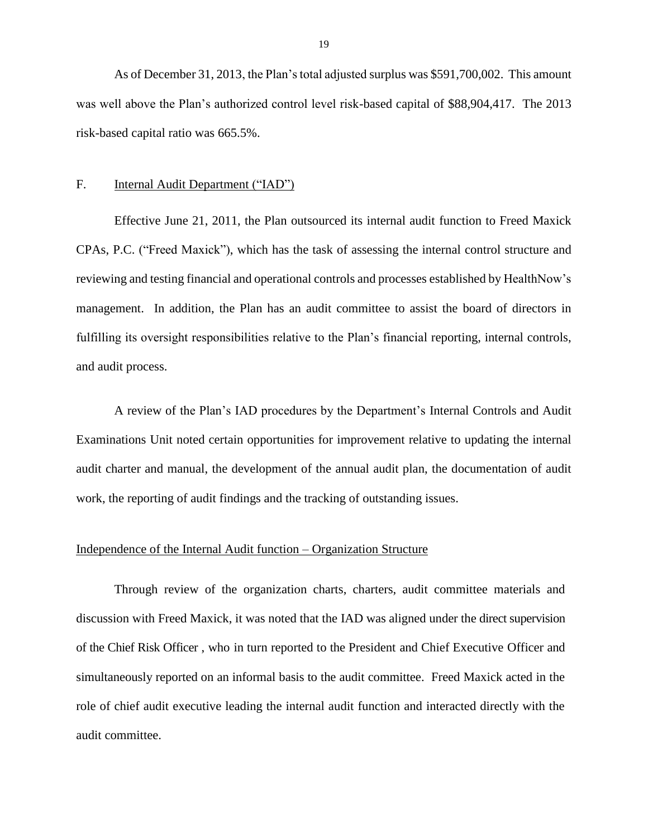As of December 31, 2013, the Plan's total adjusted surplus was \$591,700,002. This amount was well above the Plan's authorized control level risk-based capital of \$88,904,417. The 2013 risk-based capital ratio was 665.5%.

### F. Internal Audit Department ("IAD")

 Effective June 21, 2011, the Plan outsourced its internal audit function to Freed Maxick CPAs, P.C. ("Freed Maxick"), which has the task of assessing the internal control structure and reviewing and testing financial and operational controls and processes established by HealthNow's management. In addition, the Plan has an audit committee to assist the board of directors in fulfilling its oversight responsibilities relative to the Plan's financial reporting, internal controls, and audit process.

 A review of the Plan's IAD procedures by the Department's Internal Controls and Audit audit charter and manual, the development of the annual audit plan, the documentation of audit Examinations Unit noted certain opportunities for improvement relative to updating the internal work, the reporting of audit findings and the tracking of outstanding issues.

### Independence of the Internal Audit function – Organization Structure

 Through review of the organization charts, charters, audit committee materials and discussion with Freed Maxick, it was noted that the IAD was aligned under the direct supervision of the Chief Risk Officer , who in turn reported to the President and Chief Executive Officer and simultaneously reported on an informal basis to the audit committee. Freed Maxick acted in the role of chief audit executive leading the internal audit function and interacted directly with the audit committee.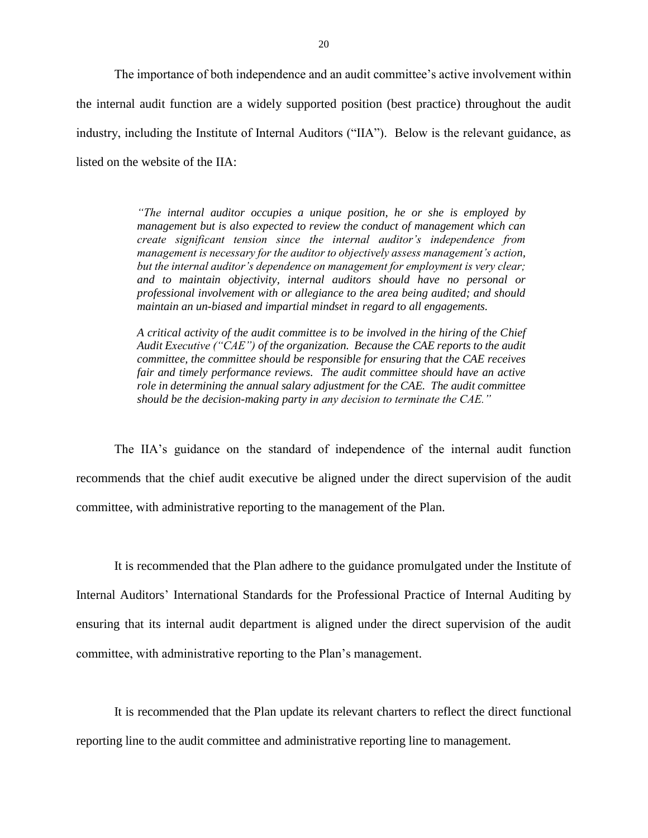The importance of both independence and an audit committee's active involvement within the internal audit function are a widely supported position (best practice) throughout the audit listed on the website of the IIA: industry, including the Institute of Internal Auditors ("IIA"). Below is the relevant guidance, as

> management but is also expected to review the conduct of management which can  *management is necessary for the auditor to objectively assess management's action, but the internal auditor's dependence on management for employment is very clear; and to maintain objectivity, internal auditors should have no personal or professional involvement with or allegiance to the area being audited; and should "The internal auditor occupies a unique position, he or she is employed by create significant tension since the internal auditor's independence from maintain an un-biased and impartial mindset in regard to all engagements.*

> *A critical activity of the audit committee is to be involved in the hiring of the Chief Audit Executive ("CAE") of the organization. Because the CAE reports to the audit committee, the committee should be responsible for ensuring that the CAE receives*  fair and timely performance reviews. The audit committee should have an active  *role in determining the annual salary adjustment for the CAE. The audit committee should be the decision-making party in any decision to terminate the CAE."*

 The IIA's guidance on the standard of independence of the internal audit function recommends that the chief audit executive be aligned under the direct supervision of the audit committee, with administrative reporting to the management of the Plan.

 It is recommended that the Plan adhere to the guidance promulgated under the Institute of Internal Auditors' International Standards for the Professional Practice of Internal Auditing by ensuring that its internal audit department is aligned under the direct supervision of the audit committee, with administrative reporting to the Plan's management.

It is recommended that the Plan update its relevant charters to reflect the direct functional reporting line to the audit committee and administrative reporting line to management.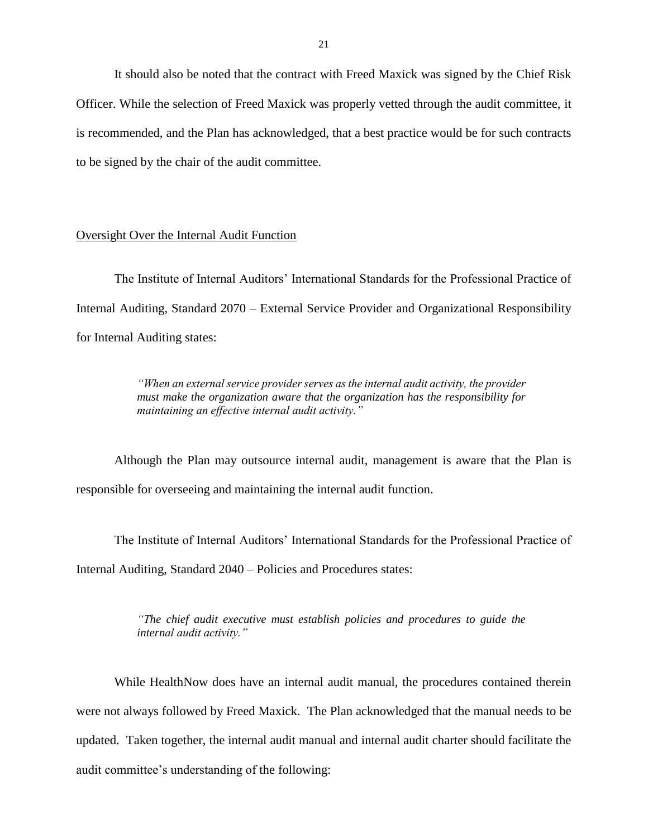It should also be noted that the contract with Freed Maxick was signed by the Chief Risk Officer. While the selection of Freed Maxick was properly vetted through the audit committee, it is recommended, and the Plan has acknowledged, that a best practice would be for such contracts to be signed by the chair of the audit committee.

### Oversight Over the Internal Audit Function

 The Institute of Internal Auditors' International Standards for the Professional Practice of Internal Auditing, Standard 2070 – External Service Provider and Organizational Responsibility for Internal Auditing states:

> "When an external service provider serves as the internal audit activity, the provider  *must make the organization aware that the organization has the responsibility for maintaining an effective internal audit activity."*

 Although the Plan may outsource internal audit, management is aware that the Plan is responsible for overseeing and maintaining the internal audit function.

 The Institute of Internal Auditors' International Standards for the Professional Practice of Internal Auditing, Standard 2040 – Policies and Procedures states:

> *"The chief audit executive must establish policies and procedures to guide the internal audit activity."*

 While HealthNow does have an internal audit manual, the procedures contained therein were not always followed by Freed Maxick. The Plan acknowledged that the manual needs to be updated. Taken together, the internal audit manual and internal audit charter should facilitate the audit committee's understanding of the following: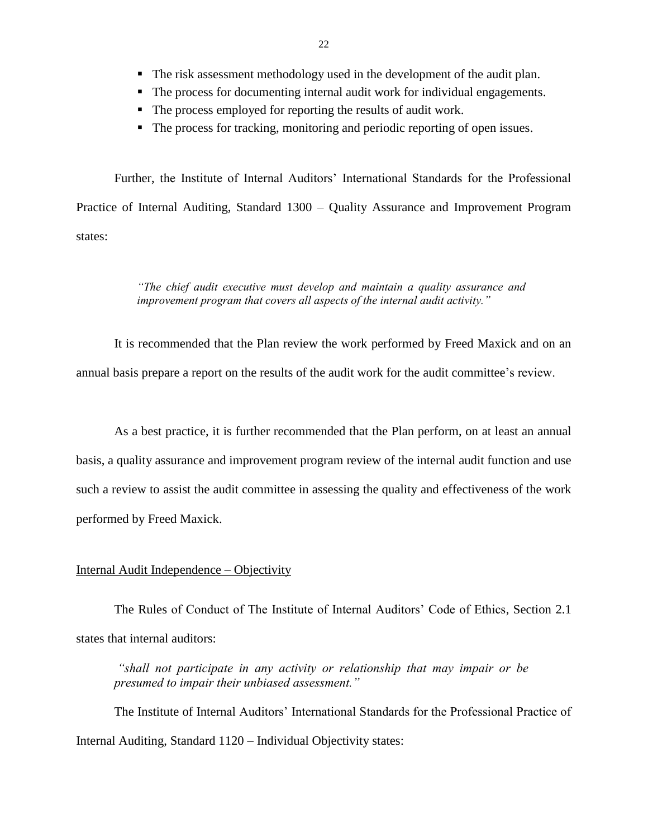- The risk assessment methodology used in the development of the audit plan.
- The process for documenting internal audit work for individual engagements.
- The process employed for reporting the results of audit work.
- The process for tracking, monitoring and periodic reporting of open issues.

 Further, the Institute of Internal Auditors' International Standards for the Professional Practice of Internal Auditing, Standard 1300 – Quality Assurance and Improvement Program states:

### *"The chief audit executive must develop and maintain a quality assurance and improvement program that covers all aspects of the internal audit activity."*

 It is recommended that the Plan review the work performed by Freed Maxick and on an annual basis prepare a report on the results of the audit work for the audit committee's review.

 As a best practice, it is further recommended that the Plan perform, on at least an annual such a review to assist the audit committee in assessing the quality and effectiveness of the work performed by Freed Maxick. performed by Freed Maxick.<br>Internal Audit Independence – Objectivity basis, a quality assurance and improvement program review of the internal audit function and use

 The Rules of Conduct of The Institute of Internal Auditors' Code of Ethics, Section 2.1 states that internal auditors:

 *"shall not participate in any activity or relationship that may impair or be presumed to impair their unbiased assessment."*

 The Institute of Internal Auditors' International Standards for the Professional Practice of Internal Auditing, Standard 1120 – Individual Objectivity states: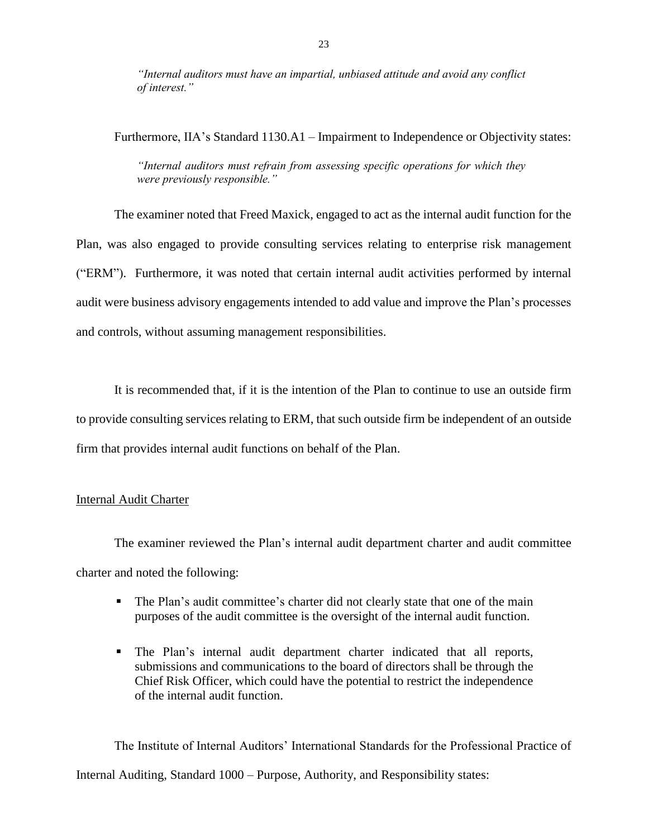*"Internal auditors must have an impartial, unbiased attitude and avoid any conflict of interest."*

Furthermore, IIA's Standard 1130.A1 – Impairment to Independence or Objectivity states:

 *"Internal auditors must refrain from assessing specific operations for which they were previously responsible."*

 The examiner noted that Freed Maxick, engaged to act as the internal audit function for the Plan, was also engaged to provide consulting services relating to enterprise risk management ("ERM"). Furthermore, it was noted that certain internal audit activities performed by internal audit were business advisory engagements intended to add value and improve the Plan's processes and controls, without assuming management responsibilities.

 It is recommended that, if it is the intention of the Plan to continue to use an outside firm to provide consulting services relating to ERM, that such outside firm be independent of an outside firm that provides internal audit functions on behalf of the Plan.<br>Internal Audit Charter

 The examiner reviewed the Plan's internal audit department charter and audit committee charter and noted the following:

- The Plan's audit committee's charter did not clearly state that one of the main purposes of the audit committee is the oversight of the internal audit function.
- The Plan's internal audit department charter indicated that all reports, submissions and communications to the board of directors shall be through the Chief Risk Officer, which could have the potential to restrict the independence of the internal audit function.

 The Institute of Internal Auditors' International Standards for the Professional Practice of Internal Auditing, Standard 1000 – Purpose, Authority, and Responsibility states: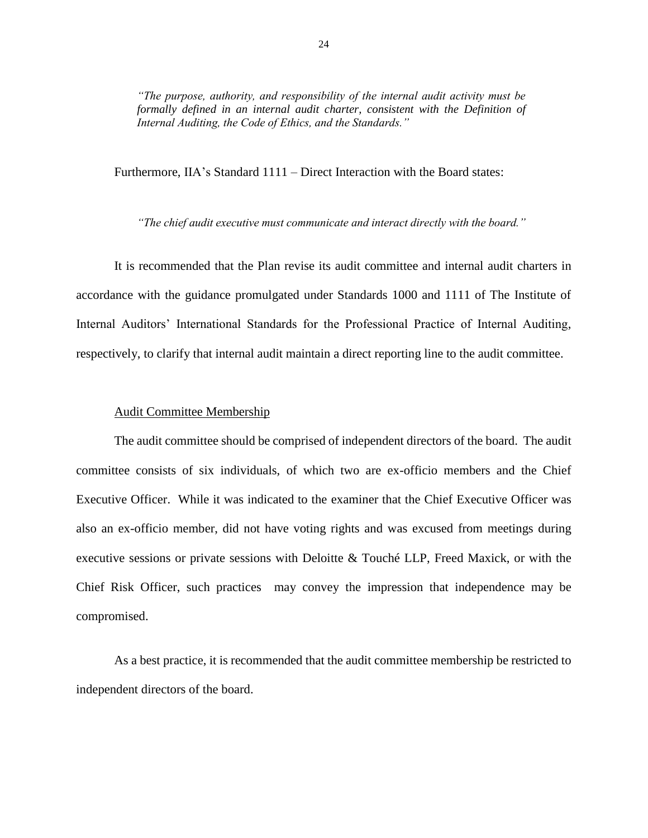*"The purpose, authority, and responsibility of the internal audit activity must be* formally defined in an internal audit charter, consistent with the Definition of *Internal Auditing, the Code of Ethics, and the Standards."*

Furthermore, IIA's Standard 1111 – Direct Interaction with the Board states:

 *"The chief audit executive must communicate and interact directly with the board."*

 It is recommended that the Plan revise its audit committee and internal audit charters in accordance with the guidance promulgated under Standards 1000 and 1111 of The Institute of Internal Auditors' International Standards for the Professional Practice of Internal Auditing, respectively, to clarify that internal audit maintain a direct reporting line to the audit committee.<br>Audit Committee Membership

 The audit committee should be comprised of independent directors of the board. The audit committee consists of six individuals, of which two are ex-officio members and the Chief Executive Officer. While it was indicated to the examiner that the Chief Executive Officer was also an ex-officio member, did not have voting rights and was excused from meetings during executive sessions or private sessions with Deloitte & Touché LLP, Freed Maxick, or with the Chief Risk Officer, such practices may convey the impression that independence may be compromised. compromised. As a best practice, it is recommended that the audit committee membership be restricted to

independent directors of the board.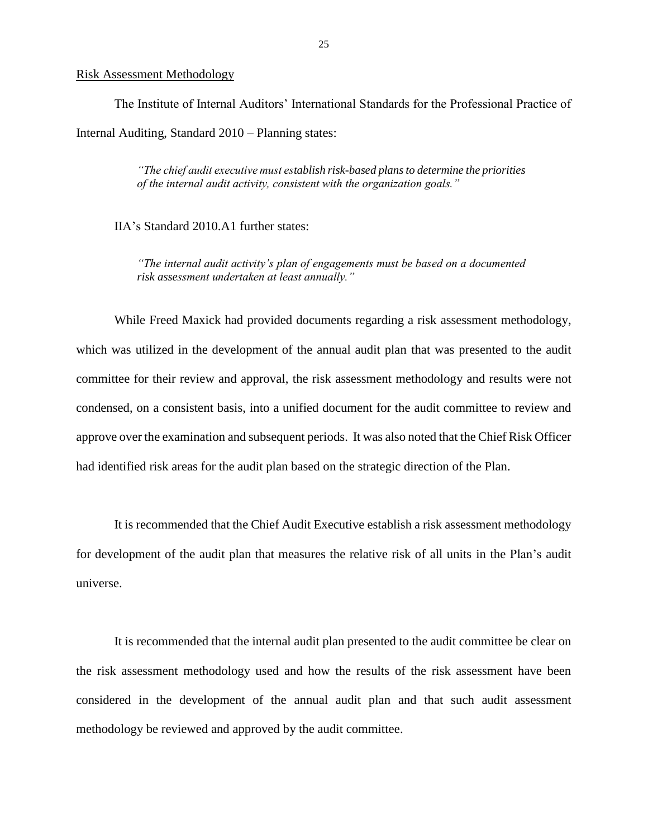### Risk Assessment Methodology

 The Institute of Internal Auditors' International Standards for the Professional Practice of Internal Auditing, Standard 2010 – Planning states:

> *"The chief audit executive must establish risk-based plans to determine the priorities of the internal audit activity, consistent with the organization goals."*

IIA's Standard 2010.A1 further states:

 *"The internal audit activity's plan of engagements must be based on a documented risk assessment undertaken at least annually."*

 which was utilized in the development of the annual audit plan that was presented to the audit committee for their review and approval, the risk assessment methodology and results were not condensed, on a consistent basis, into a unified document for the audit committee to review and approve over the examination and subsequent periods. It was also noted that the Chief Risk Officer had identified risk areas for the audit plan based on the strategic direction of the Plan. had identified risk areas for the audit plan based on the strategic direction of the Plan.<br>It is recommended that the Chief Audit Executive establish a risk assessment methodology While Freed Maxick had provided documents regarding a risk assessment methodology,

 for development of the audit plan that measures the relative risk of all units in the Plan's audit universe.

 the risk assessment methodology used and how the results of the risk assessment have been considered in the development of the annual audit plan and that such audit assessment methodology be reviewed and approved by the audit committee. It is recommended that the internal audit plan presented to the audit committee be clear on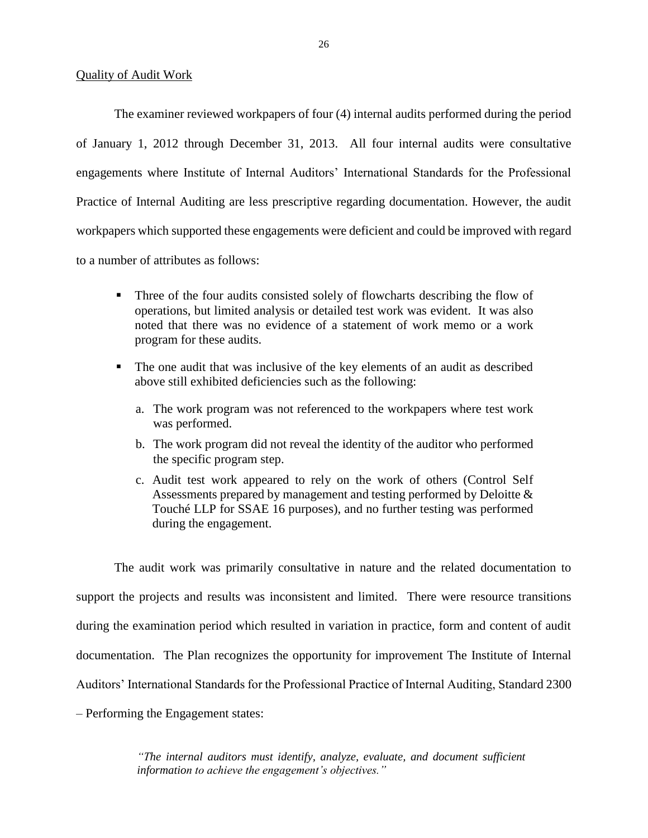### Quality of Audit Work

 The examiner reviewed workpapers of four (4) internal audits performed during the period of January 1, 2012 through December 31, 2013. All four internal audits were consultative engagements where Institute of Internal Auditors' International Standards for the Professional Practice of Internal Auditing are less prescriptive regarding documentation. However, the audit workpapers which supported these engagements were deficient and could be improved with regard to a number of attributes as follows:

- Three of the four audits consisted solely of flowcharts describing the flow of operations, but limited analysis or detailed test work was evident. It was also noted that there was no evidence of a statement of work memo or a work program for these audits.
- The one audit that was inclusive of the key elements of an audit as described above still exhibited deficiencies such as the following:
	- a. The work program was not referenced to the workpapers where test work was performed.
	- b. The work program did not reveal the identity of the auditor who performed the specific program step.
	- c. Audit test work appeared to rely on the work of others (Control Self Assessments prepared by management and testing performed by Deloitte & Touché LLP for SSAE 16 purposes), and no further testing was performed during the engagement.

 The audit work was primarily consultative in nature and the related documentation to support the projects and results was inconsistent and limited. There were resource transitions during the examination period which resulted in variation in practice, form and content of audit documentation. The Plan recognizes the opportunity for improvement The Institute of Internal Auditors' International Standards for the Professional Practice of Internal Auditing, Standard 2300 – Performing the Engagement states:

> *"The internal auditors must identify, analyze, evaluate, and document sufficient information to achieve the engagement's objectives."*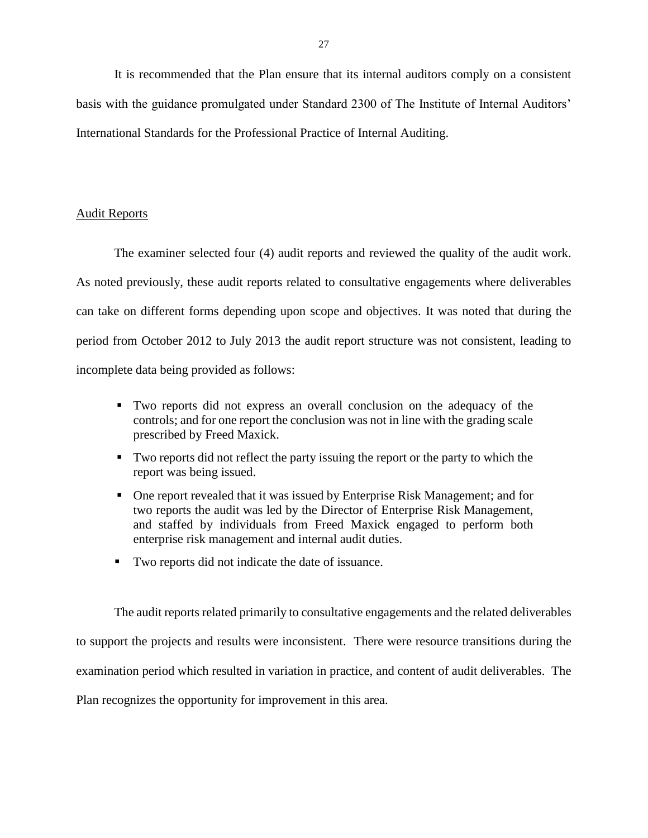It is recommended that the Plan ensure that its internal auditors comply on a consistent basis with the guidance promulgated under Standard 2300 of The Institute of Internal Auditors' International Standards for the Professional Practice of Internal Auditing.

### Audit Reports

 The examiner selected four (4) audit reports and reviewed the quality of the audit work. As noted previously, these audit reports related to consultative engagements where deliverables can take on different forms depending upon scope and objectives. It was noted that during the period from October 2012 to July 2013 the audit report structure was not consistent, leading to incomplete data being provided as follows:

- Two reports did not express an overall conclusion on the adequacy of the controls; and for one report the conclusion was not in line with the grading scale prescribed by Freed Maxick.
- Two reports did not reflect the party issuing the report or the party to which the report was being issued.
- One report revealed that it was issued by Enterprise Risk Management; and for two reports the audit was led by the Director of Enterprise Risk Management, and staffed by individuals from Freed Maxick engaged to perform both enterprise risk management and internal audit duties.
- Two reports did not indicate the date of issuance.

 The audit reports related primarily to consultative engagements and the related deliverables to support the projects and results were inconsistent. There were resource transitions during the examination period which resulted in variation in practice, and content of audit deliverables. The Plan recognizes the opportunity for improvement in this area.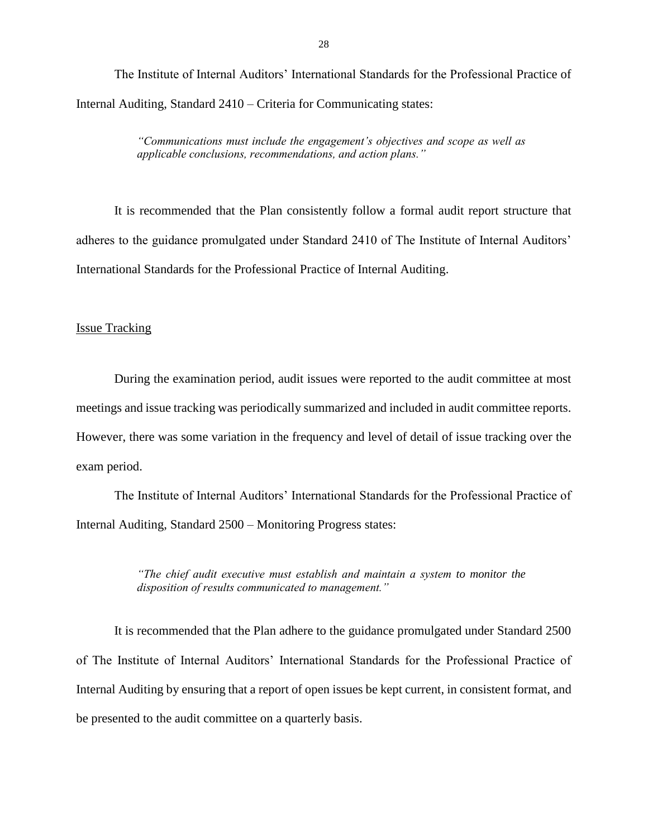The Institute of Internal Auditors' International Standards for the Professional Practice of Internal Auditing, Standard 2410 – Criteria for Communicating states:

> *"Communications must include the engagement's objectives and scope as well as applicable conclusions, recommendations, and action plans."*

 It is recommended that the Plan consistently follow a formal audit report structure that adheres to the guidance promulgated under Standard 2410 of The Institute of Internal Auditors' International Standards for the Professional Practice of Internal Auditing.

### Issue Tracking

 During the examination period, audit issues were reported to the audit committee at most meetings and issue tracking was periodically summarized and included in audit committee reports. However, there was some variation in the frequency and level of detail of issue tracking over the exam period.

 The Institute of Internal Auditors' International Standards for the Professional Practice of Internal Auditing, Standard 2500 – Monitoring Progress states:

> *"The chief audit executive must establish and maintain a system to monitor the disposition of results communicated to management."*

 It is recommended that the Plan adhere to the guidance promulgated under Standard 2500 of The Institute of Internal Auditors' International Standards for the Professional Practice of Internal Auditing by ensuring that a report of open issues be kept current, in consistent format, and be presented to the audit committee on a quarterly basis.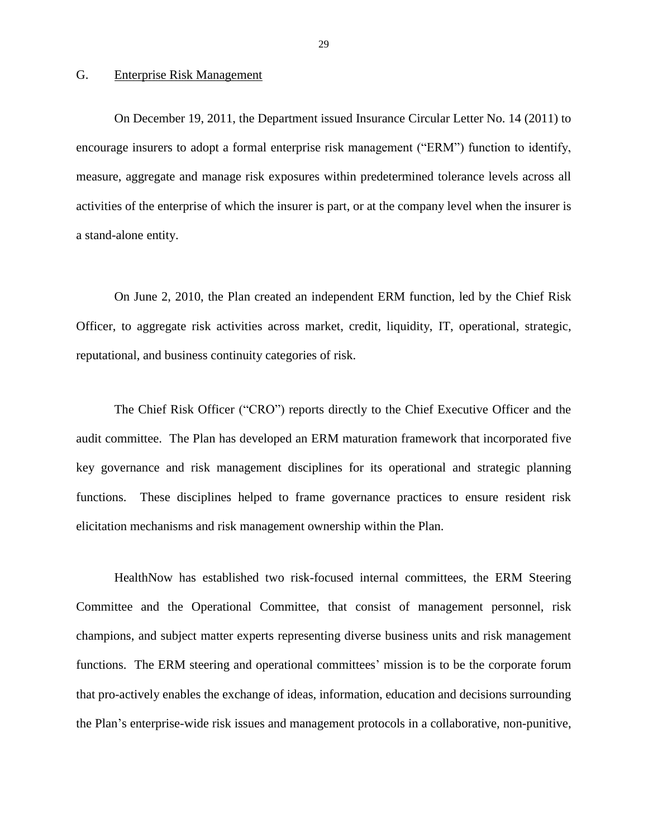### G. Enterprise Risk Management

 On December 19, 2011, the Department issued Insurance Circular Letter No. 14 (2011) to measure, aggregate and manage risk exposures within predetermined tolerance levels across all encourage insurers to adopt a formal enterprise risk management ("ERM") function to identify, activities of the enterprise of which the insurer is part, or at the company level when the insurer is a stand-alone entity.

 On June 2, 2010, the Plan created an independent ERM function, led by the Chief Risk Officer, to aggregate risk activities across market, credit, liquidity, IT, operational, strategic, reputational, and business continuity categories of risk.

 The Chief Risk Officer ("CRO") reports directly to the Chief Executive Officer and the audit committee. The Plan has developed an ERM maturation framework that incorporated five key governance and risk management disciplines for its operational and strategic planning functions. These disciplines helped to frame governance practices to ensure resident risk elicitation mechanisms and risk management ownership within the Plan.

 champions, and subject matter experts representing diverse business units and risk management functions. The ERM steering and operational committees' mission is to be the corporate forum HealthNow has established two risk-focused internal committees, the ERM Steering Committee and the Operational Committee, that consist of management personnel, risk that pro-actively enables the exchange of ideas, information, education and decisions surrounding the Plan's enterprise-wide risk issues and management protocols in a collaborative, non-punitive,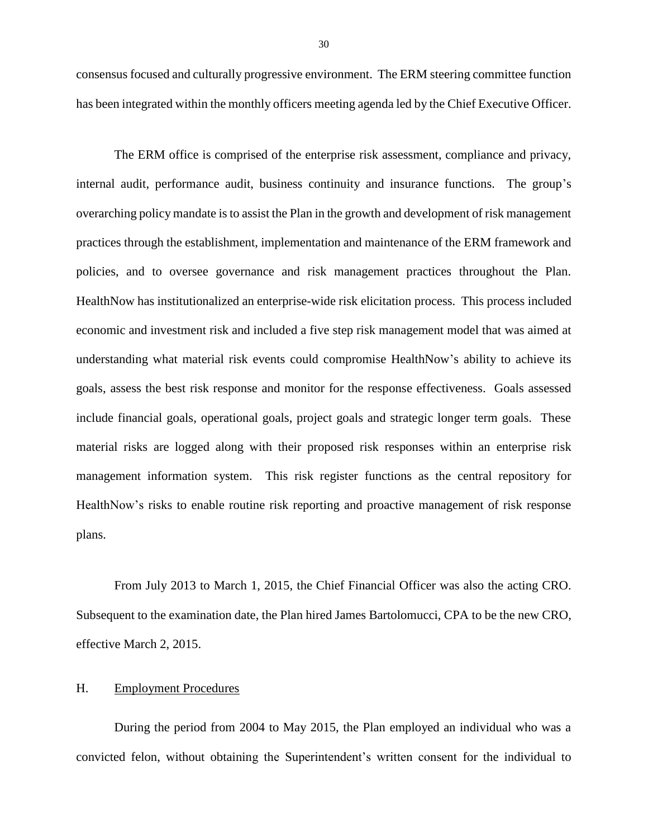consensus focused and culturally progressive environment. The ERM steering committee function has been integrated within the monthly officers meeting agenda led by the Chief Executive Officer.

 The ERM office is comprised of the enterprise risk assessment, compliance and privacy, internal audit, performance audit, business continuity and insurance functions. The group's overarching policy mandate is to assist the Plan in the growth and development of risk management practices through the establishment, implementation and maintenance of the ERM framework and policies, and to oversee governance and risk management practices throughout the Plan. HealthNow has institutionalized an enterprise-wide risk elicitation process. This process included economic and investment risk and included a five step risk management model that was aimed at understanding what material risk events could compromise HealthNow's ability to achieve its goals, assess the best risk response and monitor for the response effectiveness. Goals assessed include financial goals, operational goals, project goals and strategic longer term goals. These material risks are logged along with their proposed risk responses within an enterprise risk management information system. This risk register functions as the central repository for HealthNow's risks to enable routine risk reporting and proactive management of risk response plans.

 From July 2013 to March 1, 2015, the Chief Financial Officer was also the acting CRO. Subsequent to the examination date, the Plan hired James Bartolomucci, CPA to be the new CRO, effective March 2, 2015.

### H. Employment Procedures

 convicted felon, without obtaining the Superintendent's written consent for the individual to During the period from 2004 to May 2015, the Plan employed an individual who was a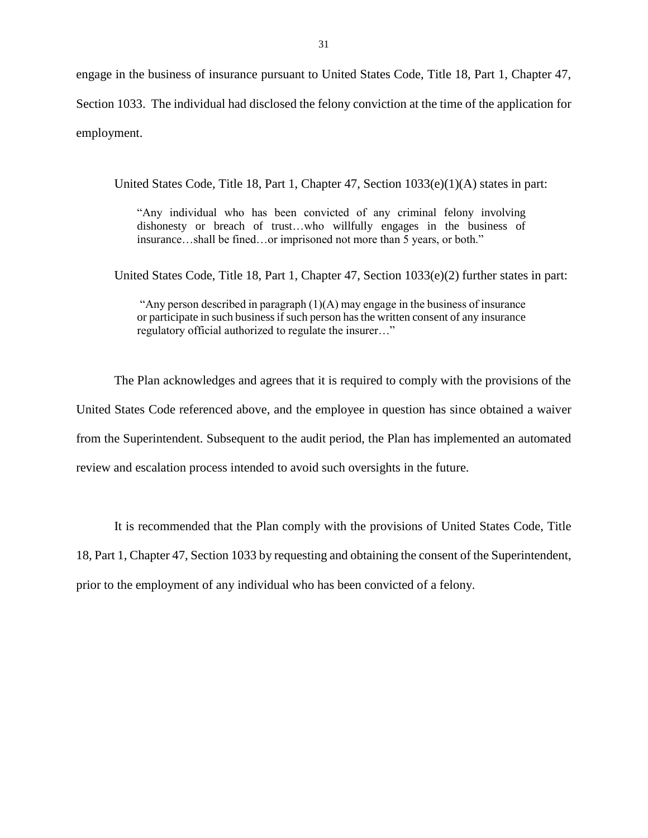engage in the business of insurance pursuant to United States Code, Title 18, Part 1, Chapter 47, Section 1033. The individual had disclosed the felony conviction at the time of the application for employment.

United States Code, Title 18, Part 1, Chapter 47, Section 1033(e)(1)(A) states in part:

 "Any individual who has been convicted of any criminal felony involving dishonesty or breach of trust…who willfully engages in the business of insurance…shall be fined…or imprisoned not more than 5 years, or both."

United States Code, Title 18, Part 1, Chapter 47, Section 1033(e)(2) further states in part:

 "Any person described in paragraph (1)(A) may engage in the business of insurance or participate in such business if such person has the written consent of any insurance regulatory official authorized to regulate the insurer…"

 The Plan acknowledges and agrees that it is required to comply with the provisions of the United States Code referenced above, and the employee in question has since obtained a waiver from the Superintendent. Subsequent to the audit period, the Plan has implemented an automated review and escalation process intended to avoid such oversights in the future.

 18, Part 1, Chapter 47, Section 1033 by requesting and obtaining the consent of the Superintendent, It is recommended that the Plan comply with the provisions of United States Code, Title prior to the employment of any individual who has been convicted of a felony.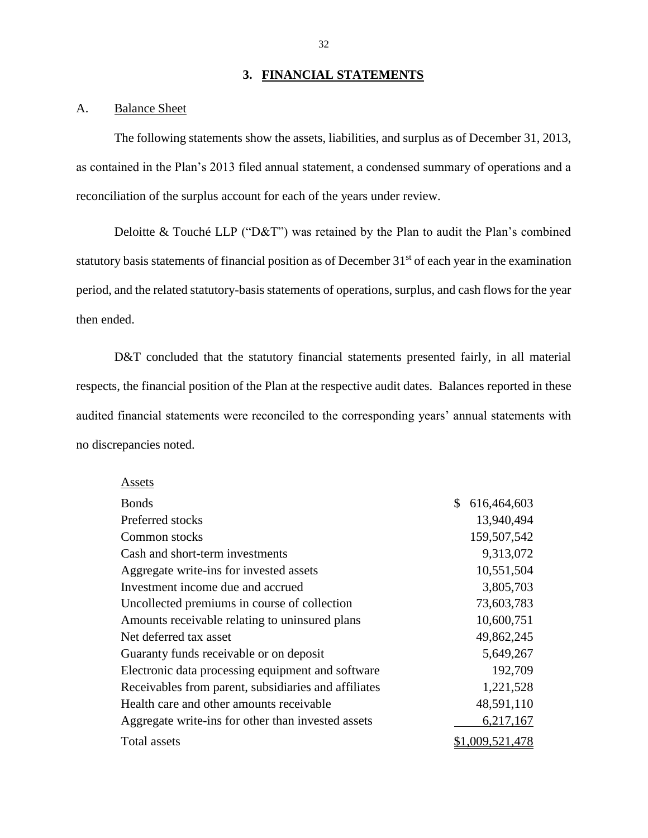### **3. FINANCIAL STATEMENTS**

### A. Balance Sheet

 $A = -1$ 

 The following statements show the assets, liabilities, and surplus as of December 31, 2013, as contained in the Plan's 2013 filed annual statement, a condensed summary of operations and a reconciliation of the surplus account for each of the years under review.

Deloitte & Touché LLP ("D&T") was retained by the Plan to audit the Plan's combined statutory basis statements of financial position as of December 31<sup>st</sup> of each year in the examination period, and the related statutory-basis statements of operations, surplus, and cash flows for the year then ended.

D&T concluded that the statutory financial statements presented fairly, in all material respects, the financial position of the Plan at the respective audit dates. Balances reported in these audited financial statements were reconciled to the corresponding years' annual statements with no discrepancies noted.

| Assels                                               |                   |
|------------------------------------------------------|-------------------|
| <b>Bonds</b>                                         | \$<br>616,464,603 |
| Preferred stocks                                     | 13,940,494        |
| Common stocks                                        | 159,507,542       |
| Cash and short-term investments                      | 9,313,072         |
| Aggregate write-ins for invested assets              | 10,551,504        |
| Investment income due and accrued                    | 3,805,703         |
| Uncollected premiums in course of collection         | 73,603,783        |
| Amounts receivable relating to uninsured plans       | 10,600,751        |
| Net deferred tax asset                               | 49,862,245        |
| Guaranty funds receivable or on deposit              | 5,649,267         |
| Electronic data processing equipment and software    | 192,709           |
| Receivables from parent, subsidiaries and affiliates | 1,221,528         |
| Health care and other amounts receivable             | 48,591,110        |
| Aggregate write-ins for other than invested assets   | 6,217,167         |
| Total assets                                         | ,009,521,478      |

32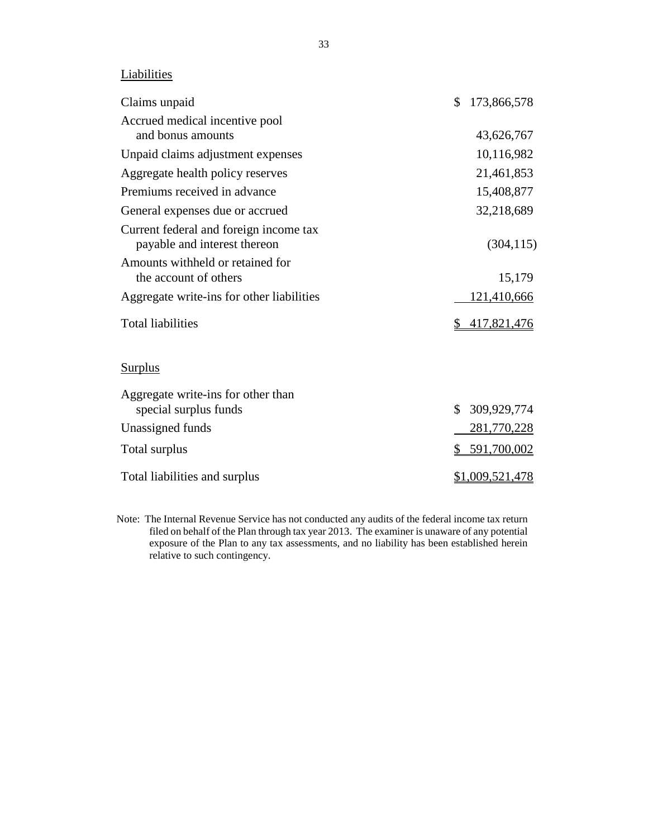### **Liabilities**

| Claims unpaid                                                          | \$<br>173,866,578  |
|------------------------------------------------------------------------|--------------------|
| Accrued medical incentive pool<br>and bonus amounts                    | 43,626,767         |
| Unpaid claims adjustment expenses                                      | 10,116,982         |
| Aggregate health policy reserves                                       | 21,461,853         |
| Premiums received in advance                                           | 15,408,877         |
| General expenses due or accrued                                        | 32,218,689         |
| Current federal and foreign income tax<br>payable and interest thereon | (304, 115)         |
| Amounts withheld or retained for<br>the account of others              | 15,179             |
| Aggregate write-ins for other liabilities                              | 121,410,666        |
| <b>Total liabilities</b>                                               | 417,821,476        |
| <b>Surplus</b>                                                         |                    |
| Aggregate write-ins for other than<br>special surplus funds            | \$<br>309,929,774  |
| Unassigned funds                                                       | <u>281,770,228</u> |
| Total surplus                                                          | 591,700,002        |
| Total liabilities and surplus                                          | \$1,009,521,478    |

 Note: The Internal Revenue Service has not conducted any audits of the federal income tax return filed on behalf of the Plan through tax year 2013. The examiner is unaware of any potential exposure of the Plan to any tax assessments, and no liability has been established herein relative to such contingency.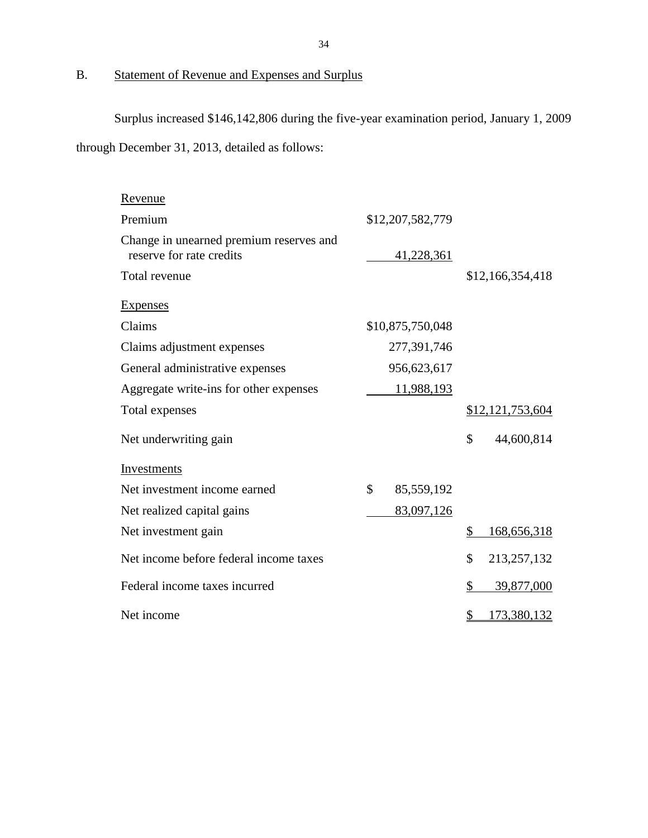### B. Statement of Revenue and Expenses and Surplus

Surplus increased \$146,142,806 during the five-year examination period, January 1, 2009

through December 31, 2013, detailed as follows:

| Revenue                                                             |                  |                   |
|---------------------------------------------------------------------|------------------|-------------------|
| Premium                                                             | \$12,207,582,779 |                   |
| Change in unearned premium reserves and<br>reserve for rate credits | 41,228,361       |                   |
| Total revenue                                                       |                  | \$12,166,354,418  |
| <b>Expenses</b>                                                     |                  |                   |
| Claims                                                              | \$10,875,750,048 |                   |
| Claims adjustment expenses                                          | 277,391,746      |                   |
| General administrative expenses                                     | 956,623,617      |                   |
| Aggregate write-ins for other expenses                              | 11,988,193       |                   |
| Total expenses                                                      |                  | \$12,121,753,604  |
| Net underwriting gain                                               |                  | \$<br>44,600,814  |
| Investments                                                         |                  |                   |
| Net investment income earned                                        | \$<br>85,559,192 |                   |
| Net realized capital gains                                          | 83,097,126       |                   |
| Net investment gain                                                 |                  | \$<br>168,656,318 |
| Net income before federal income taxes                              |                  | \$<br>213,257,132 |
| Federal income taxes incurred                                       |                  | \$<br>39,877,000  |
| Net income                                                          |                  | \$<br>173,380,132 |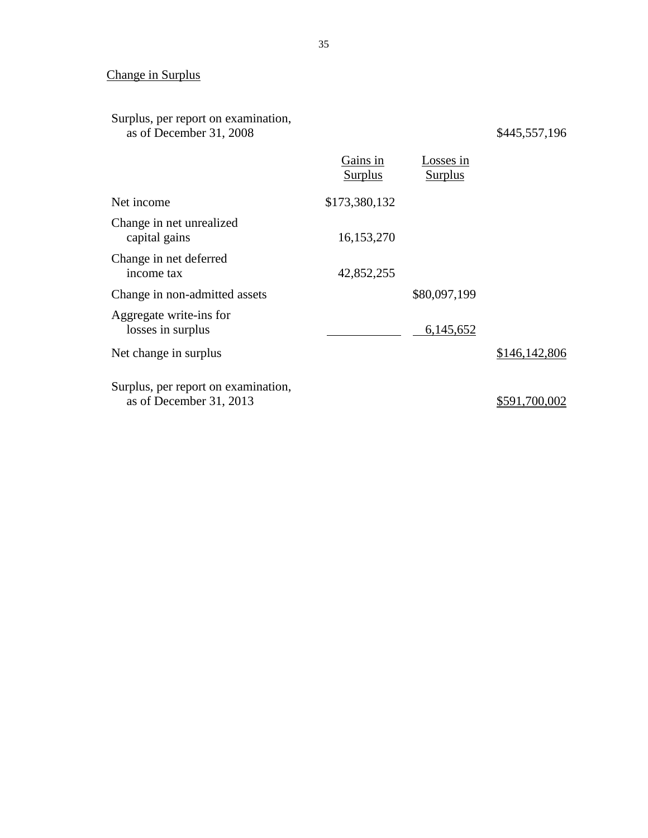## Change in Surplus

### Surplus, per report on examination, as of December 31, 2008 \$445,557,196

|                                                                | Gains in<br>Surplus | Losses in<br><b>Surplus</b> |               |
|----------------------------------------------------------------|---------------------|-----------------------------|---------------|
| Net income                                                     | \$173,380,132       |                             |               |
| Change in net unrealized<br>capital gains                      | 16,153,270          |                             |               |
| Change in net deferred<br>income tax                           | 42,852,255          |                             |               |
| Change in non-admitted assets                                  |                     | \$80,097,199                |               |
| Aggregate write-ins for<br>losses in surplus                   |                     | 6,145,652                   |               |
| Net change in surplus                                          |                     |                             | \$146,142,806 |
| Surplus, per report on examination,<br>as of December 31, 2013 |                     |                             | \$591,700,002 |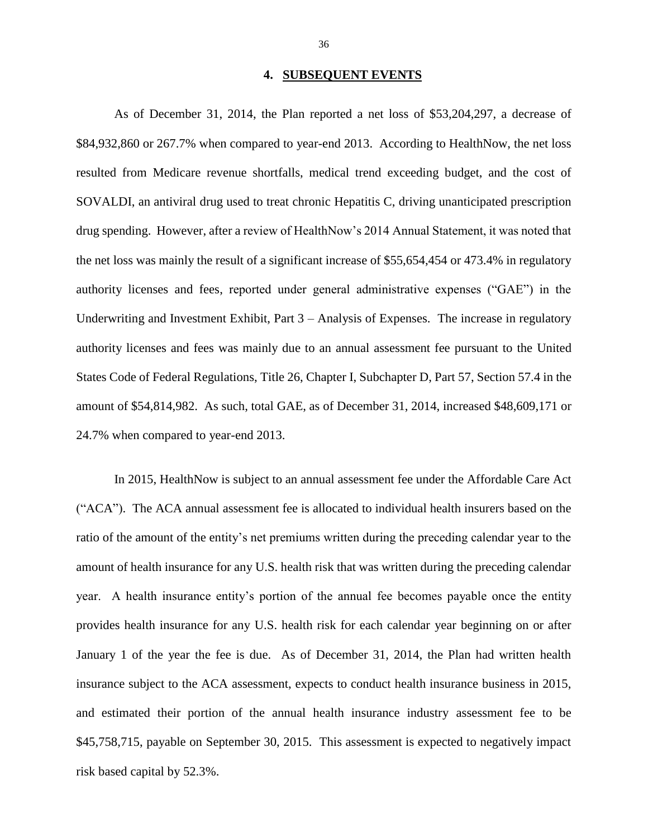### **4. SUBSEQUENT EVENTS**

 As of December 31, 2014, the Plan reported a net loss of \$53,204,297, a decrease of \$84,932,860 or 267.7% when compared to year-end 2013. According to HealthNow, the net loss resulted from Medicare revenue shortfalls, medical trend exceeding budget, and the cost of SOVALDI, an antiviral drug used to treat chronic Hepatitis C, driving unanticipated prescription drug spending. However, after a review of HealthNow's 2014 Annual Statement, it was noted that the net loss was mainly the result of a significant increase of \$55,654,454 or 473.4% in regulatory authority licenses and fees, reported under general administrative expenses ("GAE") in the Underwriting and Investment Exhibit, Part 3 – Analysis of Expenses. The increase in regulatory authority licenses and fees was mainly due to an annual assessment fee pursuant to the United States Code of Federal Regulations, Title 26, Chapter I, Subchapter D, Part 57, Section 57.4 in the amount of \$54,814,982. As such, total GAE, as of December 31, 2014, increased \$48,609,171 or 24.7% when compared to year-end 2013.

 In 2015, HealthNow is subject to an annual assessment fee under the Affordable Care Act ("ACA"). The ACA annual assessment fee is allocated to individual health insurers based on the amount of health insurance for any U.S. health risk that was written during the preceding calendar year. A health insurance entity's portion of the annual fee becomes payable once the entity provides health insurance for any U.S. health risk for each calendar year beginning on or after January 1 of the year the fee is due. As of December 31, 2014, the Plan had written health and estimated their portion of the annual health insurance industry assessment fee to be \$45,758,715, payable on September 30, 2015. This assessment is expected to negatively impact ratio of the amount of the entity's net premiums written during the preceding calendar year to the insurance subject to the ACA assessment, expects to conduct health insurance business in 2015, risk based capital by 52.3%.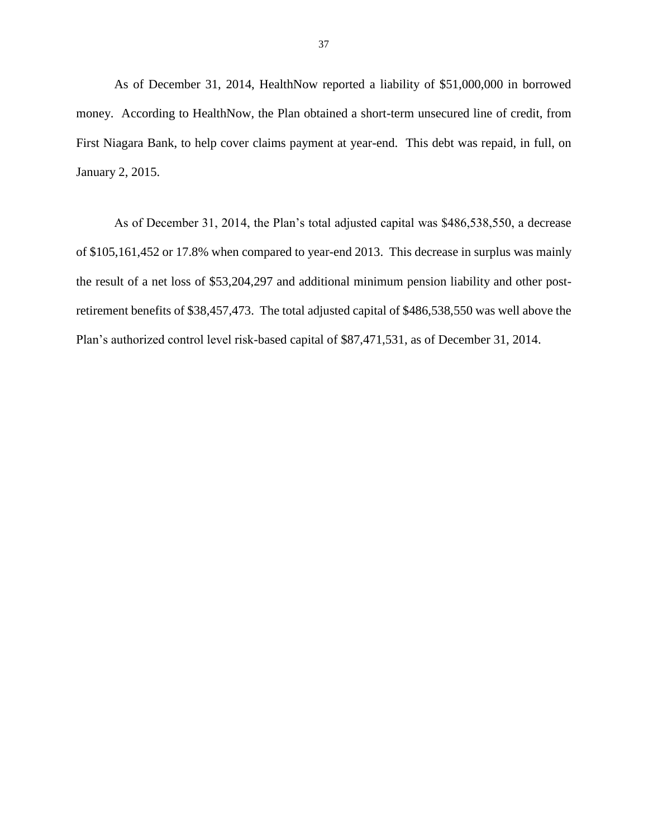As of December 31, 2014, HealthNow reported a liability of \$51,000,000 in borrowed money. According to HealthNow, the Plan obtained a short-term unsecured line of credit, from First Niagara Bank, to help cover claims payment at year-end. This debt was repaid, in full, on January 2, 2015.

 As of December 31, 2014, the Plan's total adjusted capital was \$486,538,550, a decrease of \$105,161,452 or 17.8% when compared to year-end 2013. This decrease in surplus was mainly the result of a net loss of \$53,204,297 and additional minimum pension liability and other post- retirement benefits of \$38,457,473. The total adjusted capital of \$486,538,550 was well above the Plan's authorized control level risk-based capital of \$87,471,531, as of December 31, 2014.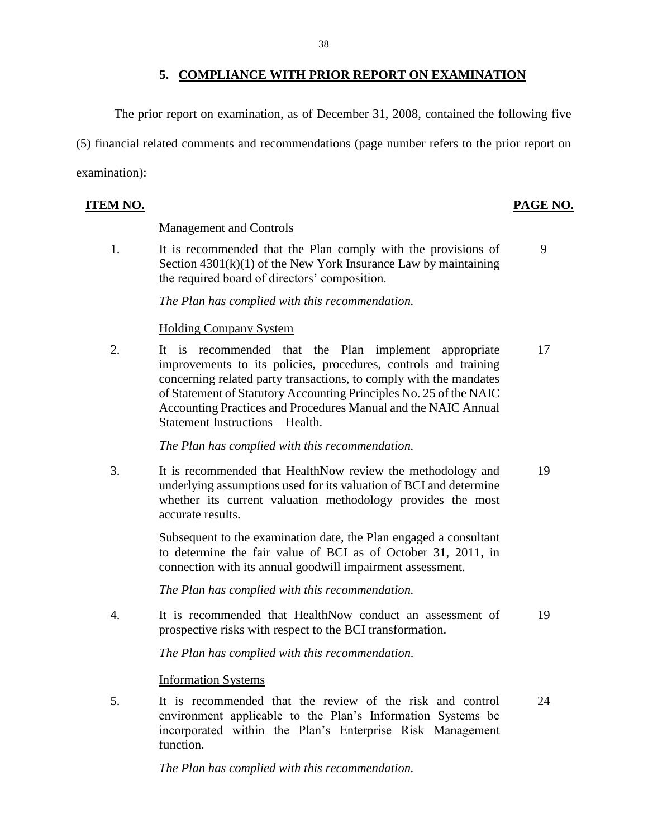### **5. COMPLIANCE WITH PRIOR REPORT ON EXAMINATION**

The prior report on examination, as of December 31, 2008, contained the following five

 (5) financial related comments and recommendations (page number refers to the prior report on examination):

### **ITEM NO. PAGE NO.**

### Management and Controls

1. It is recommended that the Plan comply with the provisions of 9 Section 4301(k)(1) of the New York Insurance Law by maintaining the required board of directors' composition.

*The Plan has complied with this recommendation.* 

### Holding Company System

 of Statement of Statutory Accounting Principles No. 25 of the NAIC Accounting Practices and Procedures Manual and the NAIC Annual 2. It is recommended that the Plan implement appropriate 17 improvements to its policies, procedures, controls and training concerning related party transactions, to comply with the mandates Statement Instructions – Health.

*The Plan has complied with this recommendation.* 

 3. It is recommended that HealthNow review the methodology and 19 underlying assumptions used for its valuation of BCI and determine whether its current valuation methodology provides the most accurate results.

> Subsequent to the examination date, the Plan engaged a consultant to determine the fair value of BCI as of October 31, 2011, in connection with its annual goodwill impairment assessment.

*The Plan has complied with this recommendation.* 

 4. It is recommended that HealthNow conduct an assessment of 19 prospective risks with respect to the BCI transformation.

*The Plan has complied with this recommendation.* 

### Information Systems

5. It is recommended that the review of the risk and control 24 environment applicable to the Plan's Information Systems be incorporated within the Plan's Enterprise Risk Management function.

*The Plan has complied with this recommendation.*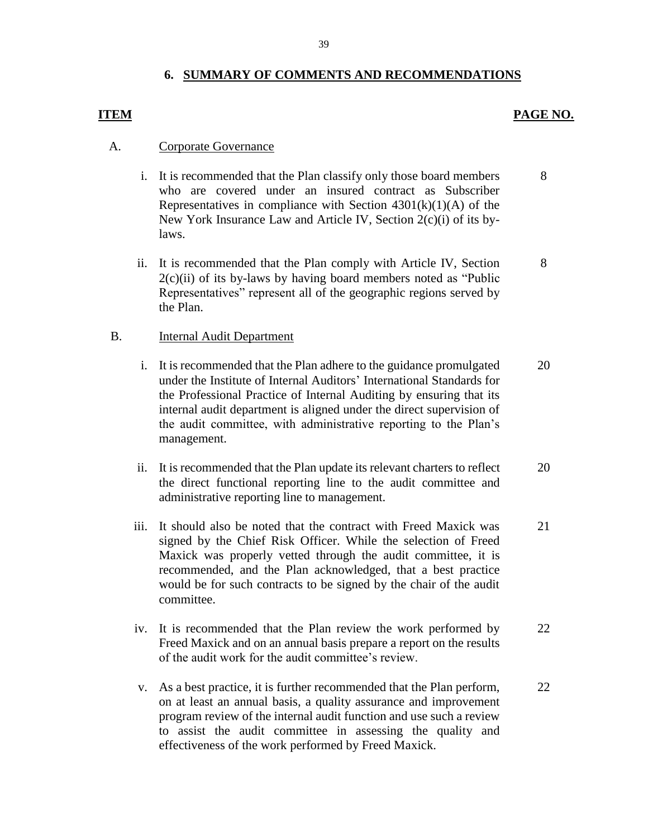### **6. SUMMARY OF COMMENTS AND RECOMMENDATIONS**

### **ITEM PAGE NO.**

8

### A. Corporate Governance

- i. It is recommended that the Plan classify only those board members who are covered under an insured contract as Subscriber Representatives in compliance with Section  $4301(k)(1)(A)$  of the New York Insurance Law and Article IV, Section 2(c)(i) of its bylaws. 8
- $2(c)(ii)$  of its by-laws by having board members noted as "Public ii. It is recommended that the Plan comply with Article IV, Section Representatives" represent all of the geographic regions served by the Plan.

### B. Internal Audit Department

- internal audit department is aligned under the direct supervision of the audit committee, with administrative reporting to the Plan's i. It is recommended that the Plan adhere to the guidance promulgated under the Institute of Internal Auditors' International Standards for the Professional Practice of Internal Auditing by ensuring that its management. 20
- ii. It is recommended that the Plan update its relevant charters to reflect the direct functional reporting line to the audit committee and administrative reporting line to management. 20
- Maxick was properly vetted through the audit committee, it is would be for such contracts to be signed by the chair of the audit iii. It should also be noted that the contract with Freed Maxick was signed by the Chief Risk Officer. While the selection of Freed recommended, and the Plan acknowledged, that a best practice committee. 21
- iv. It is recommended that the Plan review the work performed by Freed Maxick and on an annual basis prepare a report on the results of the audit work for the audit committee's review. 22
- on at least an annual basis, a quality assurance and improvement program review of the internal audit function and use such a review to assist the audit committee in assessing the quality and v. As a best practice, it is further recommended that the Plan perform, effectiveness of the work performed by Freed Maxick. 22

39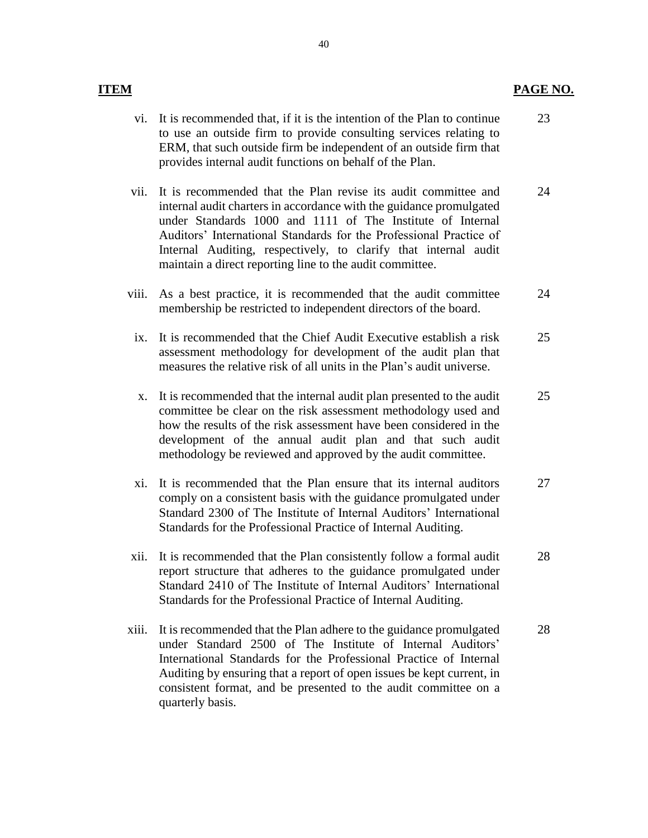### **ITEM**

- to use an outside firm to provide consulting services relating to vi. It is recommended that, if it is the intention of the Plan to continue ERM, that such outside firm be independent of an outside firm that provides internal audit functions on behalf of the Plan. 23
- vii. It is recommended that the Plan revise its audit committee and under Standards 1000 and 1111 of The Institute of Internal Auditors' International Standards for the Professional Practice of internal audit charters in accordance with the guidance promulgated Internal Auditing, respectively, to clarify that internal audit maintain a direct reporting line to the audit committee. 24
- viii. As a best practice, it is recommended that the audit committee membership be restricted to independent directors of the board. 24
- ix. It is recommended that the Chief Audit Executive establish a risk assessment methodology for development of the audit plan that measures the relative risk of all units in the Plan's audit universe. 25
- x. It is recommended that the internal audit plan presented to the audit committee be clear on the risk assessment methodology used and how the results of the risk assessment have been considered in the development of the annual audit plan and that such audit methodology be reviewed and approved by the audit committee. 25
- comply on a consistent basis with the guidance promulgated under Standard 2300 of The Institute of Internal Auditors' International xi. It is recommended that the Plan ensure that its internal auditors Standards for the Professional Practice of Internal Auditing. 27
- xii. It is recommended that the Plan consistently follow a formal audit Standard 2410 of The Institute of Internal Auditors' International report structure that adheres to the guidance promulgated under Standards for the Professional Practice of Internal Auditing. 28
- under Standard 2500 of The Institute of Internal Auditors' Auditing by ensuring that a report of open issues be kept current, in consistent format, and be presented to the audit committee on a quarterly basis. xiii. It is recommended that the Plan adhere to the guidance promulgated International Standards for the Professional Practice of Internal **EASTE MO.**<br> **PAGE NO.**<br> **PAGE NO.**<br> **EAST,** that such outside firm to provide consulting services relating to ERM, that such outside firm he independent of an outside firm that ERM, that such outside firm the independent 28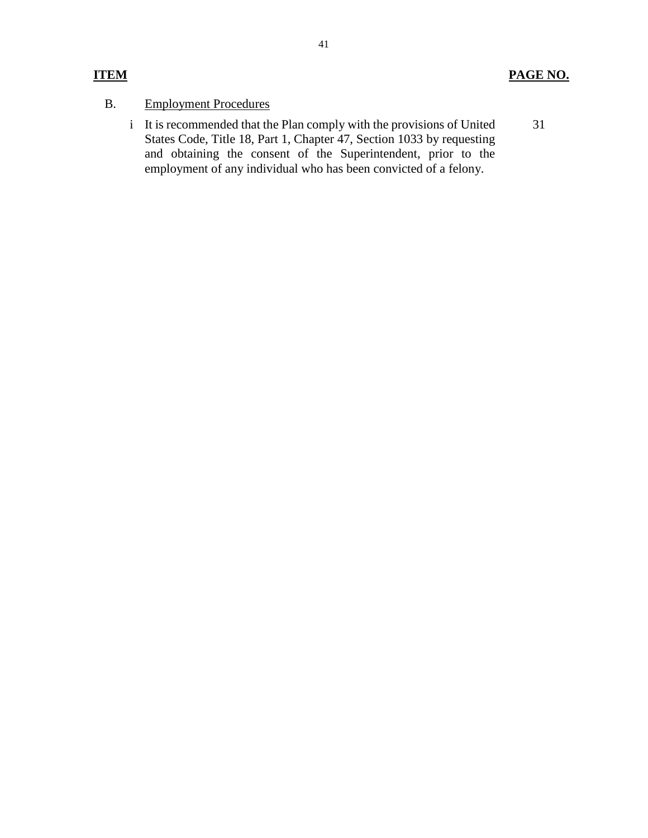## B. Employment Procedures

 i It is recommended that the Plan comply with the provisions of United and obtaining the consent of the Superintendent, prior to the States Code, Title 18, Part 1, Chapter 47, Section 1033 by requesting employment of any individual who has been convicted of a felony. 31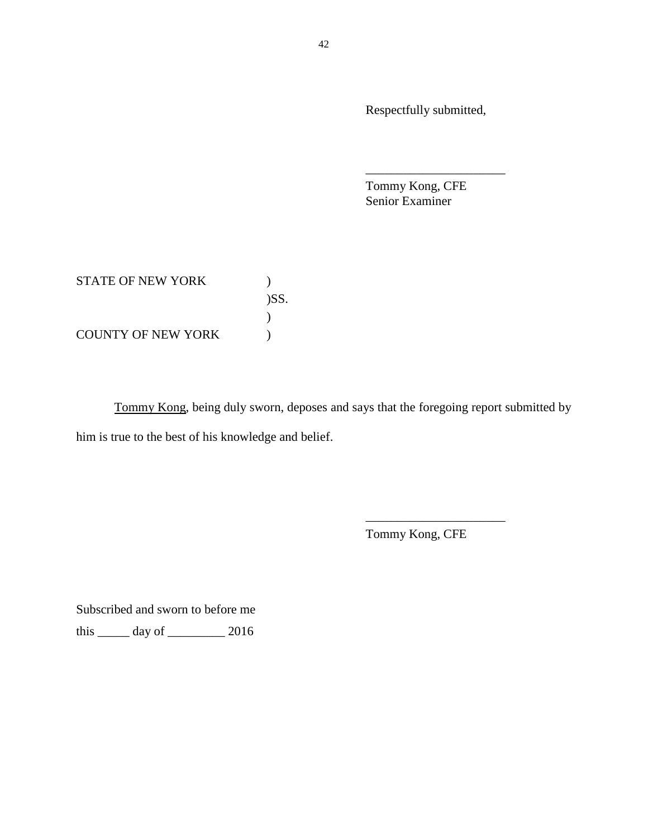Respectfully submitted,

\_\_\_\_\_\_\_\_\_\_\_\_\_\_\_\_\_\_\_\_\_\_

Tommy Kong, CFE Senior Examiner

STATE OF NEW YORK  $)$ COUNTY OF NEW YORK (a) )SS.  $\overline{)}$ 

Tommy Kong, being duly sworn, deposes and says that the foregoing report submitted by him is true to the best of his knowledge and belief.

Tommy Kong, CFE

\_\_\_\_\_\_\_\_\_\_\_\_\_\_\_\_\_\_\_\_\_\_

Subscribed and sworn to before me

this \_\_\_\_\_ day of \_\_\_\_\_\_\_\_\_ 2016